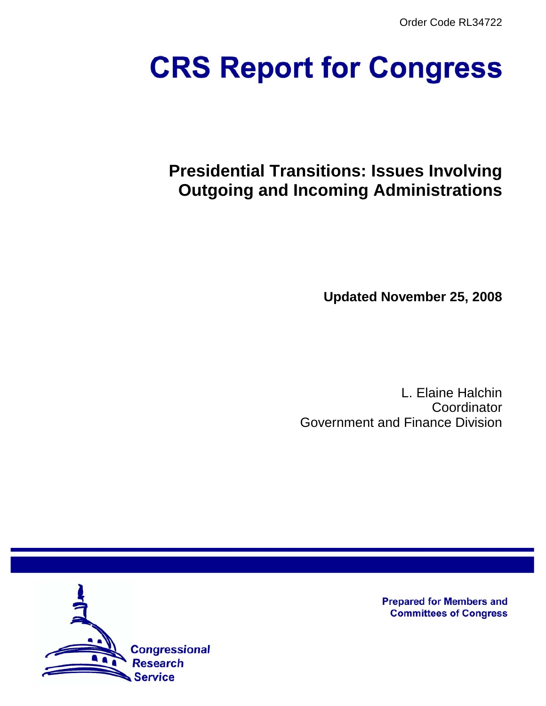Order Code RL34722

# **CRS Report for Congress**

# **Presidential Transitions: Issues Involving Outgoing and Incoming Administrations**

**Updated November 25, 2008**

L. Elaine Halchin Coordinator Government and Finance Division



**Prepared for Members and Committees of Congress**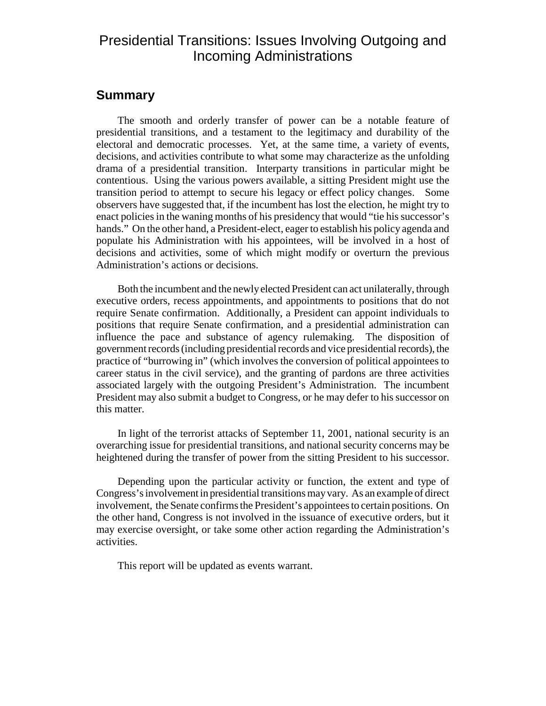# Presidential Transitions: Issues Involving Outgoing and Incoming Administrations

## **Summary**

The smooth and orderly transfer of power can be a notable feature of presidential transitions, and a testament to the legitimacy and durability of the electoral and democratic processes. Yet, at the same time, a variety of events, decisions, and activities contribute to what some may characterize as the unfolding drama of a presidential transition. Interparty transitions in particular might be contentious. Using the various powers available, a sitting President might use the transition period to attempt to secure his legacy or effect policy changes. Some observers have suggested that, if the incumbent has lost the election, he might try to enact policies in the waning months of his presidency that would "tie his successor's hands." On the other hand, a President-elect, eager to establish his policy agenda and populate his Administration with his appointees, will be involved in a host of decisions and activities, some of which might modify or overturn the previous Administration's actions or decisions.

Both the incumbent and the newly elected President can act unilaterally, through executive orders, recess appointments, and appointments to positions that do not require Senate confirmation. Additionally, a President can appoint individuals to positions that require Senate confirmation, and a presidential administration can influence the pace and substance of agency rulemaking. The disposition of government records (including presidential records and vice presidential records), the practice of "burrowing in" (which involves the conversion of political appointees to career status in the civil service), and the granting of pardons are three activities associated largely with the outgoing President's Administration. The incumbent President may also submit a budget to Congress, or he may defer to his successor on this matter.

In light of the terrorist attacks of September 11, 2001, national security is an overarching issue for presidential transitions, and national security concerns may be heightened during the transfer of power from the sitting President to his successor.

Depending upon the particular activity or function, the extent and type of Congress's involvement in presidential transitions may vary. As an example of direct involvement, the Senate confirms the President's appointees to certain positions. On the other hand, Congress is not involved in the issuance of executive orders, but it may exercise oversight, or take some other action regarding the Administration's activities.

This report will be updated as events warrant.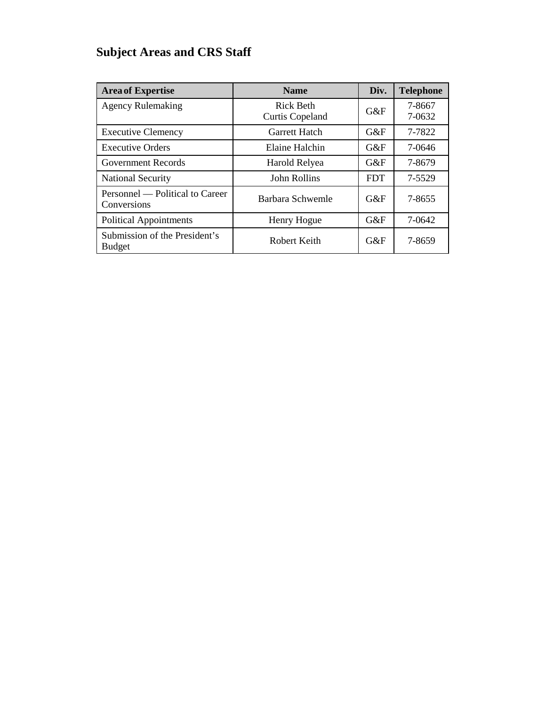# **Subject Areas and CRS Staff**

| <b>Area of Expertise</b>                       | <b>Name</b>                                | Div.       | <b>Telephone</b> |
|------------------------------------------------|--------------------------------------------|------------|------------------|
| <b>Agency Rulemaking</b>                       | <b>Rick Beth</b><br><b>Curtis Copeland</b> | $G\&F$     | 7-8667<br>7-0632 |
| <b>Executive Clemency</b>                      | <b>Garrett Hatch</b>                       | G&F        | 7-7822           |
| <b>Executive Orders</b>                        | Elaine Halchin                             | G&F        | 7-0646           |
| <b>Government Records</b>                      | Harold Relyea                              | $G\&F$     | 7-8679           |
| <b>National Security</b>                       | John Rollins                               | <b>FDT</b> | 7-5529           |
| Personnel — Political to Career<br>Conversions | Barbara Schwemle                           | $G\&F$     | 7-8655           |
| <b>Political Appointments</b>                  | Henry Hogue                                | G&F        | 7-0642           |
| Submission of the President's<br><b>Budget</b> | Robert Keith                               | $G\&F$     | 7-8659           |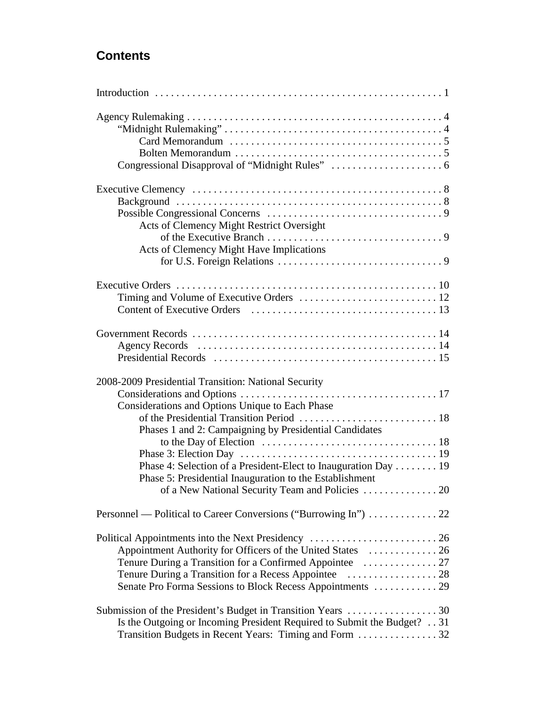# **Contents**

| Acts of Clemency Might Restrict Oversight                                                                                 |
|---------------------------------------------------------------------------------------------------------------------------|
|                                                                                                                           |
| Acts of Clemency Might Have Implications                                                                                  |
|                                                                                                                           |
|                                                                                                                           |
|                                                                                                                           |
|                                                                                                                           |
|                                                                                                                           |
|                                                                                                                           |
|                                                                                                                           |
| 2008-2009 Presidential Transition: National Security                                                                      |
|                                                                                                                           |
| Considerations and Options Unique to Each Phase                                                                           |
|                                                                                                                           |
| Phases 1 and 2: Campaigning by Presidential Candidates                                                                    |
|                                                                                                                           |
|                                                                                                                           |
| Phase 4: Selection of a President-Elect to Inauguration Day 19<br>Phase 5: Presidential Inauguration to the Establishment |
| of a New National Security Team and Policies  20                                                                          |
|                                                                                                                           |
|                                                                                                                           |
| Appointment Authority for Officers of the United States  26                                                               |
|                                                                                                                           |
|                                                                                                                           |
| Senate Pro Forma Sessions to Block Recess Appointments  29                                                                |
|                                                                                                                           |
| Is the Outgoing or Incoming President Required to Submit the Budget? 31                                                   |
| Transition Budgets in Recent Years: Timing and Form 32                                                                    |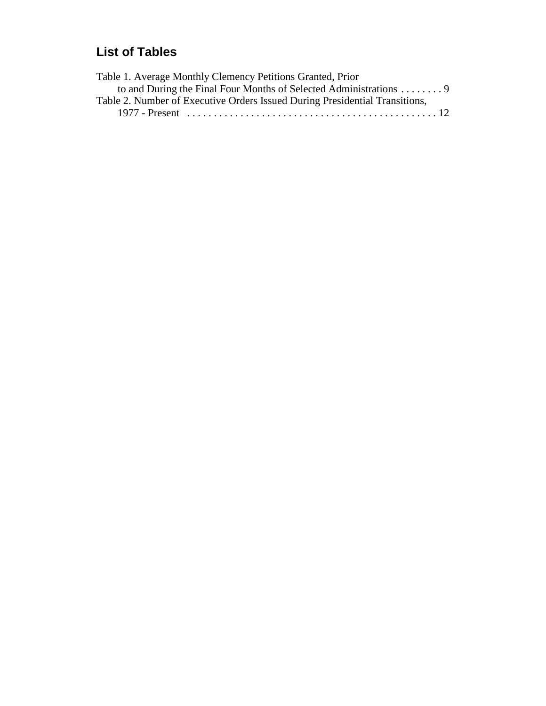# **List of Tables**

| Table 1. Average Monthly Clemency Petitions Granted, Prior                  |
|-----------------------------------------------------------------------------|
| to and During the Final Four Months of Selected Administrations 9           |
| Table 2. Number of Executive Orders Issued During Presidential Transitions, |
|                                                                             |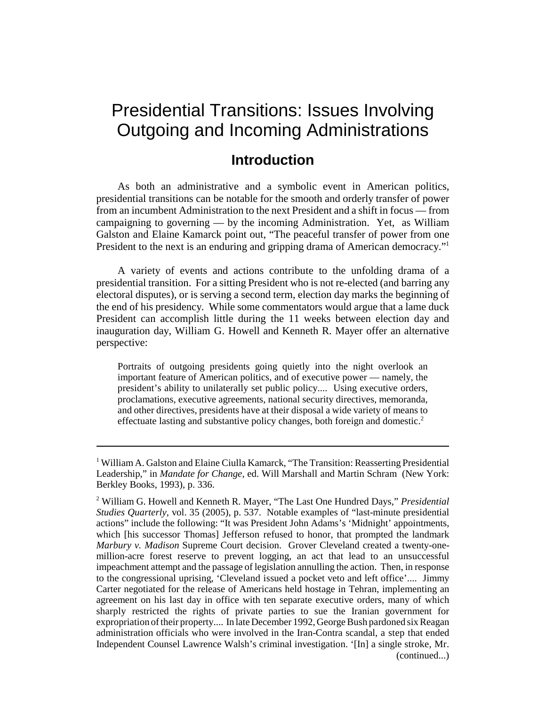# Presidential Transitions: Issues Involving Outgoing and Incoming Administrations

# **Introduction**

As both an administrative and a symbolic event in American politics, presidential transitions can be notable for the smooth and orderly transfer of power from an incumbent Administration to the next President and a shift in focus — from campaigning to governing — by the incoming Administration. Yet, as William Galston and Elaine Kamarck point out, "The peaceful transfer of power from one President to the next is an enduring and gripping drama of American democracy."<sup>1</sup>

A variety of events and actions contribute to the unfolding drama of a presidential transition. For a sitting President who is not re-elected (and barring any electoral disputes), or is serving a second term, election day marks the beginning of the end of his presidency. While some commentators would argue that a lame duck President can accomplish little during the 11 weeks between election day and inauguration day, William G. Howell and Kenneth R. Mayer offer an alternative perspective:

Portraits of outgoing presidents going quietly into the night overlook an important feature of American politics, and of executive power — namely, the president's ability to unilaterally set public policy.... Using executive orders, proclamations, executive agreements, national security directives, memoranda, and other directives, presidents have at their disposal a wide variety of means to effectuate lasting and substantive policy changes, both foreign and domestic.2

<sup>&</sup>lt;sup>1</sup> William A. Galston and Elaine Ciulla Kamarck, "The Transition: Reasserting Presidential Leadership," in *Mandate for Change*, ed. Will Marshall and Martin Schram (New York: Berkley Books, 1993), p. 336.

<sup>2</sup> William G. Howell and Kenneth R. Mayer, "The Last One Hundred Days," *Presidential Studies Quarterly*, vol. 35 (2005), p. 537. Notable examples of "last-minute presidential actions" include the following: "It was President John Adams's 'Midnight' appointments, which [his successor Thomas] Jefferson refused to honor, that prompted the landmark *Marbury v. Madison* Supreme Court decision. Grover Cleveland created a twenty-onemillion-acre forest reserve to prevent logging, an act that lead to an unsuccessful impeachment attempt and the passage of legislation annulling the action. Then, in response to the congressional uprising, 'Cleveland issued a pocket veto and left office'.... Jimmy Carter negotiated for the release of Americans held hostage in Tehran, implementing an agreement on his last day in office with ten separate executive orders, many of which sharply restricted the rights of private parties to sue the Iranian government for expropriation of their property.... In late December 1992, George Bush pardoned six Reagan administration officials who were involved in the Iran-Contra scandal, a step that ended Independent Counsel Lawrence Walsh's criminal investigation. '[In] a single stroke, Mr. (continued...)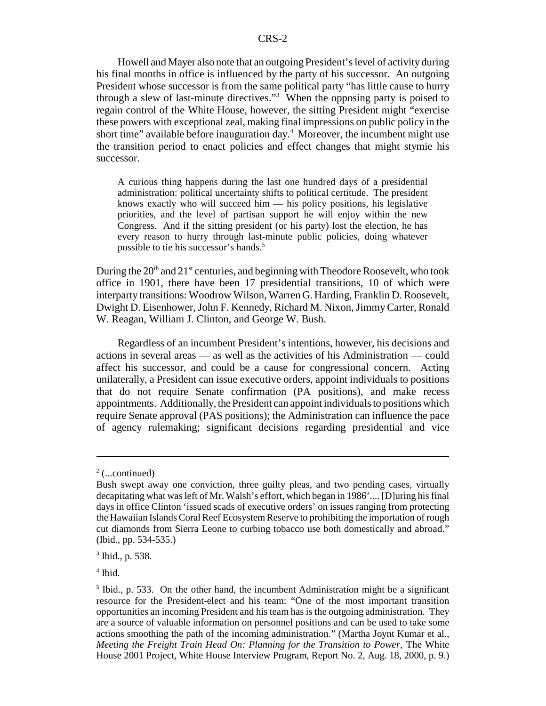Howell and Mayer also note that an outgoing President's level of activity during his final months in office is influenced by the party of his successor. An outgoing President whose successor is from the same political party "has little cause to hurry through a slew of last-minute directives."3 When the opposing party is poised to regain control of the White House, however, the sitting President might "exercise these powers with exceptional zeal, making final impressions on public policy in the short time" available before inauguration day. $4\,$  Moreover, the incumbent might use the transition period to enact policies and effect changes that might stymie his successor.

A curious thing happens during the last one hundred days of a presidential administration: political uncertainty shifts to political certitude. The president knows exactly who will succeed him — his policy positions, his legislative priorities, and the level of partisan support he will enjoy within the new Congress. And if the sitting president (or his party) lost the election, he has every reason to hurry through last-minute public policies, doing whatever possible to tie his successor's hands.5

During the  $20<sup>th</sup>$  and  $21<sup>st</sup>$  centuries, and beginning with Theodore Roosevelt, who took office in 1901, there have been 17 presidential transitions, 10 of which were interparty transitions: Woodrow Wilson, Warren G. Harding, Franklin D. Roosevelt, Dwight D. Eisenhower, John F. Kennedy, Richard M. Nixon, Jimmy Carter, Ronald W. Reagan, William J. Clinton, and George W. Bush.

Regardless of an incumbent President's intentions, however, his decisions and actions in several areas — as well as the activities of his Administration — could affect his successor, and could be a cause for congressional concern. Acting unilaterally, a President can issue executive orders, appoint individuals to positions that do not require Senate confirmation (PA positions), and make recess appointments. Additionally, the President can appoint individuals to positions which require Senate approval (PAS positions); the Administration can influence the pace of agency rulemaking; significant decisions regarding presidential and vice

4 Ibid.

 $2$  (...continued)

Bush swept away one conviction, three guilty pleas, and two pending cases, virtually decapitating what was left of Mr. Walsh's effort, which began in 1986'.... [D]uring his final days in office Clinton 'issued scads of executive orders' on issues ranging from protecting the Hawaiian Islands Coral Reef Ecosystem Reserve to prohibiting the importation of rough cut diamonds from Sierra Leone to curbing tobacco use both domestically and abroad." (Ibid., pp. 534-535.)

<sup>3</sup> Ibid., p. 538.

 $<sup>5</sup>$  Ibid., p. 533. On the other hand, the incumbent Administration might be a significant</sup> resource for the President-elect and his team: "One of the most important transition opportunities an incoming President and his team has is the outgoing administration. They are a source of valuable information on personnel positions and can be used to take some actions smoothing the path of the incoming administration." (Martha Joynt Kumar et al., *Meeting the Freight Train Head On: Planning for the Transition to Power*, The White House 2001 Project, White House Interview Program, Report No. 2, Aug. 18, 2000, p. 9.)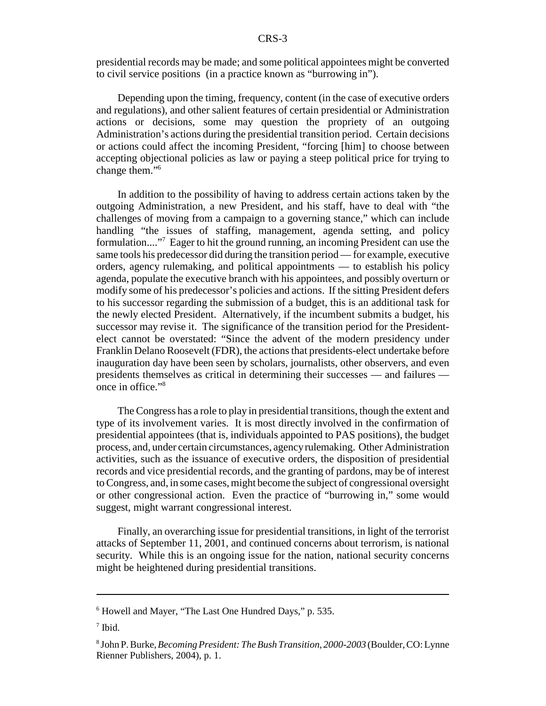presidential records may be made; and some political appointees might be converted to civil service positions (in a practice known as "burrowing in").

Depending upon the timing, frequency, content (in the case of executive orders and regulations), and other salient features of certain presidential or Administration actions or decisions, some may question the propriety of an outgoing Administration's actions during the presidential transition period. Certain decisions or actions could affect the incoming President, "forcing [him] to choose between accepting objectional policies as law or paying a steep political price for trying to change them."<sup>6</sup>

In addition to the possibility of having to address certain actions taken by the outgoing Administration, a new President, and his staff, have to deal with "the challenges of moving from a campaign to a governing stance," which can include handling "the issues of staffing, management, agenda setting, and policy formulation...."<sup>7</sup> Eager to hit the ground running, an incoming President can use the same tools his predecessor did during the transition period — for example, executive orders, agency rulemaking, and political appointments — to establish his policy agenda, populate the executive branch with his appointees, and possibly overturn or modify some of his predecessor's policies and actions. If the sitting President defers to his successor regarding the submission of a budget, this is an additional task for the newly elected President. Alternatively, if the incumbent submits a budget, his successor may revise it. The significance of the transition period for the Presidentelect cannot be overstated: "Since the advent of the modern presidency under Franklin Delano Roosevelt (FDR), the actions that presidents-elect undertake before inauguration day have been seen by scholars, journalists, other observers, and even presidents themselves as critical in determining their successes — and failures once in office."8

The Congress has a role to play in presidential transitions, though the extent and type of its involvement varies. It is most directly involved in the confirmation of presidential appointees (that is, individuals appointed to PAS positions), the budget process, and, under certain circumstances, agency rulemaking. Other Administration activities, such as the issuance of executive orders, the disposition of presidential records and vice presidential records, and the granting of pardons, may be of interest to Congress, and, in some cases, might become the subject of congressional oversight or other congressional action. Even the practice of "burrowing in," some would suggest, might warrant congressional interest.

Finally, an overarching issue for presidential transitions, in light of the terrorist attacks of September 11, 2001, and continued concerns about terrorism, is national security. While this is an ongoing issue for the nation, national security concerns might be heightened during presidential transitions.

<sup>6</sup> Howell and Mayer, "The Last One Hundred Days," p. 535.

<sup>7</sup> Ibid.

<sup>8</sup> John P. Burke, *Becoming President: The Bush Transition, 2000-2003* (Boulder, CO: Lynne Rienner Publishers, 2004), p. 1.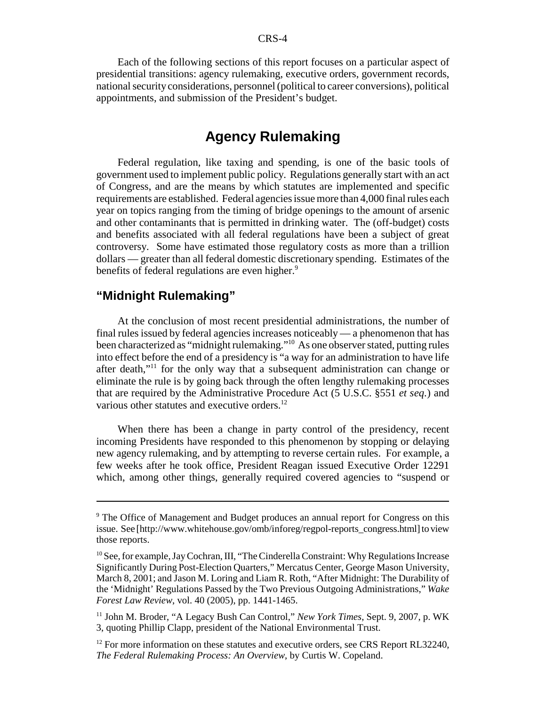Each of the following sections of this report focuses on a particular aspect of presidential transitions: agency rulemaking, executive orders, government records, national security considerations, personnel (political to career conversions), political appointments, and submission of the President's budget.

# **Agency Rulemaking**

Federal regulation, like taxing and spending, is one of the basic tools of government used to implement public policy. Regulations generally start with an act of Congress, and are the means by which statutes are implemented and specific requirements are established. Federal agencies issue more than 4,000 final rules each year on topics ranging from the timing of bridge openings to the amount of arsenic and other contaminants that is permitted in drinking water. The (off-budget) costs and benefits associated with all federal regulations have been a subject of great controversy. Some have estimated those regulatory costs as more than a trillion dollars — greater than all federal domestic discretionary spending. Estimates of the benefits of federal regulations are even higher.<sup>9</sup>

### **"Midnight Rulemaking"**

At the conclusion of most recent presidential administrations, the number of final rules issued by federal agencies increases noticeably — a phenomenon that has been characterized as "midnight rulemaking."10 As one observer stated, putting rules into effect before the end of a presidency is "a way for an administration to have life after death,"11 for the only way that a subsequent administration can change or eliminate the rule is by going back through the often lengthy rulemaking processes that are required by the Administrative Procedure Act (5 U.S.C. §551 *et seq.*) and various other statutes and executive orders.<sup>12</sup>

When there has been a change in party control of the presidency, recent incoming Presidents have responded to this phenomenon by stopping or delaying new agency rulemaking, and by attempting to reverse certain rules. For example, a few weeks after he took office, President Reagan issued Executive Order 12291 which, among other things, generally required covered agencies to "suspend or

<sup>&</sup>lt;sup>9</sup> The Office of Management and Budget produces an annual report for Congress on this issue. See [http://www.whitehouse.gov/omb/inforeg/regpol-reports\_congress.html] to view those reports.

<sup>&</sup>lt;sup>10</sup> See, for example, Jay Cochran, III, "The Cinderella Constraint: Why Regulations Increase Significantly During Post-Election Quarters," Mercatus Center, George Mason University, March 8, 2001; and Jason M. Loring and Liam R. Roth, "After Midnight: The Durability of the 'Midnight' Regulations Passed by the Two Previous Outgoing Administrations," *Wake Forest Law Review*, vol. 40 (2005), pp. 1441-1465.

<sup>11</sup> John M. Broder, "A Legacy Bush Can Control," *New York Times*, Sept. 9, 2007, p. WK 3, quoting Phillip Clapp, president of the National Environmental Trust.

 $12$  For more information on these statutes and executive orders, see CRS Report RL32240, *The Federal Rulemaking Process: An Overview*, by Curtis W. Copeland.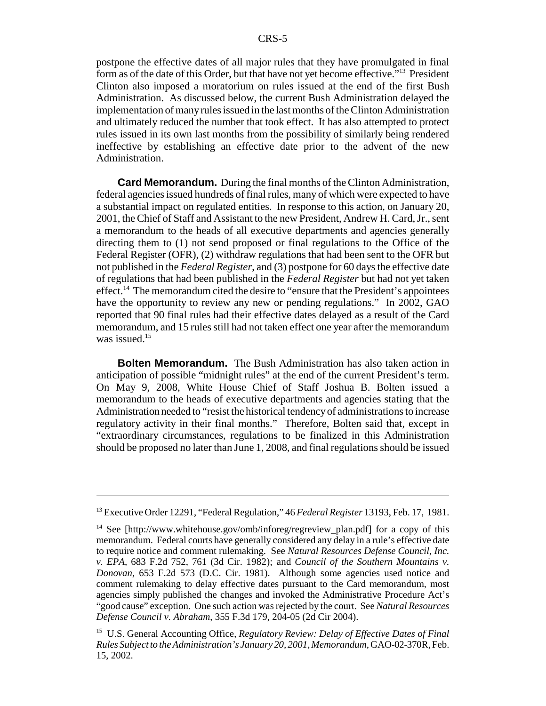postpone the effective dates of all major rules that they have promulgated in final form as of the date of this Order, but that have not yet become effective."13 President Clinton also imposed a moratorium on rules issued at the end of the first Bush Administration. As discussed below, the current Bush Administration delayed the implementation of many rules issued in the last months of the Clinton Administration and ultimately reduced the number that took effect. It has also attempted to protect rules issued in its own last months from the possibility of similarly being rendered ineffective by establishing an effective date prior to the advent of the new Administration.

**Card Memorandum.** During the final months of the Clinton Administration, federal agencies issued hundreds of final rules, many of which were expected to have a substantial impact on regulated entities. In response to this action, on January 20, 2001, the Chief of Staff and Assistant to the new President, Andrew H. Card, Jr., sent a memorandum to the heads of all executive departments and agencies generally directing them to (1) not send proposed or final regulations to the Office of the Federal Register (OFR), (2) withdraw regulations that had been sent to the OFR but not published in the *Federal Register*, and (3) postpone for 60 days the effective date of regulations that had been published in the *Federal Register* but had not yet taken effect.<sup>14</sup> The memorandum cited the desire to "ensure that the President's appointees" have the opportunity to review any new or pending regulations." In 2002, GAO reported that 90 final rules had their effective dates delayed as a result of the Card memorandum, and 15 rules still had not taken effect one year after the memorandum was issued.<sup>15</sup>

**Bolten Memorandum.** The Bush Administration has also taken action in anticipation of possible "midnight rules" at the end of the current President's term. On May 9, 2008, White House Chief of Staff Joshua B. Bolten issued a memorandum to the heads of executive departments and agencies stating that the Administration needed to "resist the historical tendency of administrations to increase regulatory activity in their final months." Therefore, Bolten said that, except in "extraordinary circumstances, regulations to be finalized in this Administration should be proposed no later than June 1, 2008, and final regulations should be issued

<sup>13</sup> Executive Order 12291, "Federal Regulation," 46 *Federal Register* 13193, Feb. 17, 1981.

<sup>&</sup>lt;sup>14</sup> See [http://www.whitehouse.gov/omb/inforeg/regreview plan.pdf] for a copy of this memorandum. Federal courts have generally considered any delay in a rule's effective date to require notice and comment rulemaking. See *Natural Resources Defense Council, Inc. v. EPA*, 683 F.2d 752, 761 (3d Cir. 1982); and *Council of the Southern Mountains v. Donovan*, 653 F.2d 573 (D.C. Cir. 1981). Although some agencies used notice and comment rulemaking to delay effective dates pursuant to the Card memorandum, most agencies simply published the changes and invoked the Administrative Procedure Act's "good cause" exception. One such action was rejected by the court. See *Natural Resources Defense Council v. Abraham*, 355 F.3d 179, 204-05 (2d Cir 2004).

<sup>15</sup> U.S. General Accounting Office, *Regulatory Review: Delay of Effective Dates of Final Rules Subject to the Administration's January 20, 2001, Memorandum*, GAO-02-370R, Feb. 15, 2002.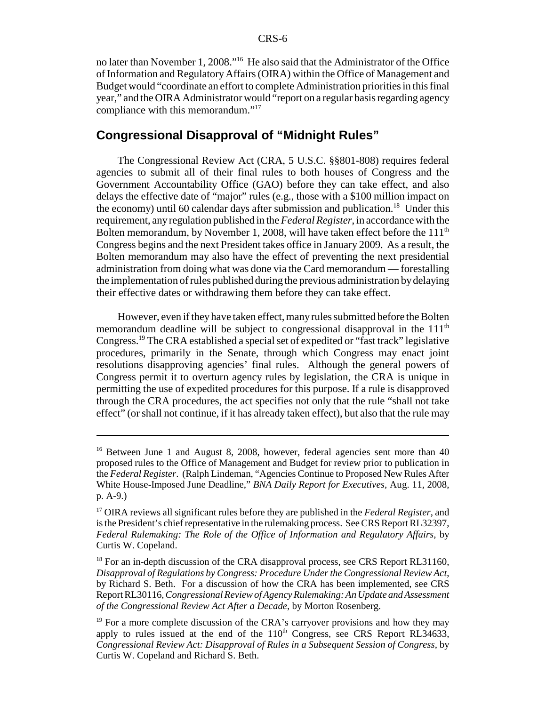no later than November 1, 2008."16 He also said that the Administrator of the Office of Information and Regulatory Affairs (OIRA) within the Office of Management and Budget would "coordinate an effort to complete Administration priorities in this final year," and the OIRA Administrator would "report on a regular basis regarding agency compliance with this memorandum."<sup>17</sup>

# **Congressional Disapproval of "Midnight Rules"**

The Congressional Review Act (CRA, 5 U.S.C. §§801-808) requires federal agencies to submit all of their final rules to both houses of Congress and the Government Accountability Office (GAO) before they can take effect, and also delays the effective date of "major" rules (e.g., those with a \$100 million impact on the economy) until 60 calendar days after submission and publication.<sup>18</sup> Under this requirement, any regulation published in the *Federal Register*, in accordance with the Bolten memorandum, by November 1, 2008, will have taken effect before the  $111<sup>th</sup>$ Congress begins and the next President takes office in January 2009. As a result, the Bolten memorandum may also have the effect of preventing the next presidential administration from doing what was done via the Card memorandum — forestalling the implementation of rules published during the previous administration by delaying their effective dates or withdrawing them before they can take effect.

However, even if they have taken effect, many rules submitted before the Bolten memorandum deadline will be subject to congressional disapproval in the 111<sup>th</sup> Congress.19 The CRA established a special set of expedited or "fast track" legislative procedures, primarily in the Senate, through which Congress may enact joint resolutions disapproving agencies' final rules. Although the general powers of Congress permit it to overturn agency rules by legislation, the CRA is unique in permitting the use of expedited procedures for this purpose. If a rule is disapproved through the CRA procedures, the act specifies not only that the rule "shall not take effect" (or shall not continue, if it has already taken effect), but also that the rule may

<sup>&</sup>lt;sup>16</sup> Between June 1 and August 8, 2008, however, federal agencies sent more than 40 proposed rules to the Office of Management and Budget for review prior to publication in the *Federal Register*. (Ralph Lindeman, "Agencies Continue to Proposed New Rules After White House-Imposed June Deadline," *BNA Daily Report for Executives*, Aug. 11, 2008, p. A-9.)

<sup>17</sup> OIRA reviews all significant rules before they are published in the *Federal Register*, and is the President's chief representative in the rulemaking process. See CRS Report RL32397, *Federal Rulemaking: The Role of the Office of Information and Regulatory Affairs*, by Curtis W. Copeland.

 $18$  For an in-depth discussion of the CRA disapproval process, see CRS Report RL31160, *Disapproval of Regulations by Congress: Procedure Under the Congressional Review Act*, by Richard S. Beth. For a discussion of how the CRA has been implemented, see CRS Report RL30116, *Congressional Review of Agency Rulemaking: An Update and Assessment of the Congressional Review Act After a Decade*, by Morton Rosenberg.

 $19$  For a more complete discussion of the CRA's carryover provisions and how they may apply to rules issued at the end of the  $110<sup>th</sup>$  Congress, see CRS Report RL34633, *Congressional Review Act: Disapproval of Rules in a Subsequent Session of Congress*, by Curtis W. Copeland and Richard S. Beth.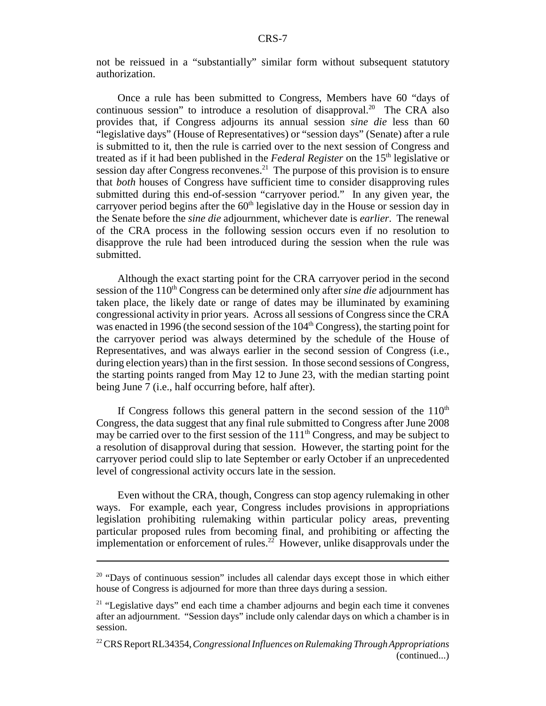not be reissued in a "substantially" similar form without subsequent statutory authorization.

Once a rule has been submitted to Congress, Members have 60 "days of continuous session" to introduce a resolution of disapproval.<sup>20</sup> The CRA also provides that, if Congress adjourns its annual session *sine die* less than 60 "legislative days" (House of Representatives) or "session days" (Senate) after a rule is submitted to it, then the rule is carried over to the next session of Congress and treated as if it had been published in the *Federal Register* on the 15th legislative or session day after Congress reconvenes.<sup>21</sup> The purpose of this provision is to ensure that *both* houses of Congress have sufficient time to consider disapproving rules submitted during this end-of-session "carryover period." In any given year, the carryover period begins after the  $60<sup>th</sup>$  legislative day in the House or session day in the Senate before the *sine die* adjournment, whichever date is *earlier*. The renewal of the CRA process in the following session occurs even if no resolution to disapprove the rule had been introduced during the session when the rule was submitted.

Although the exact starting point for the CRA carryover period in the second session of the 110<sup>th</sup> Congress can be determined only after *sine die* adjournment has taken place, the likely date or range of dates may be illuminated by examining congressional activity in prior years. Across all sessions of Congress since the CRA was enacted in 1996 (the second session of the  $104<sup>th</sup>$  Congress), the starting point for the carryover period was always determined by the schedule of the House of Representatives, and was always earlier in the second session of Congress (i.e., during election years) than in the first session. In those second sessions of Congress, the starting points ranged from May 12 to June 23, with the median starting point being June 7 (i.e., half occurring before, half after).

If Congress follows this general pattern in the second session of the  $110<sup>th</sup>$ Congress, the data suggest that any final rule submitted to Congress after June 2008 may be carried over to the first session of the  $111<sup>th</sup>$  Congress, and may be subject to a resolution of disapproval during that session. However, the starting point for the carryover period could slip to late September or early October if an unprecedented level of congressional activity occurs late in the session.

Even without the CRA, though, Congress can stop agency rulemaking in other ways. For example, each year, Congress includes provisions in appropriations legislation prohibiting rulemaking within particular policy areas, preventing particular proposed rules from becoming final, and prohibiting or affecting the implementation or enforcement of rules.<sup>22</sup> However, unlike disapprovals under the

<sup>&</sup>lt;sup>20</sup> "Days of continuous session" includes all calendar days except those in which either house of Congress is adjourned for more than three days during a session.

 $21$  "Legislative days" end each time a chamber adjourns and begin each time it convenes after an adjournment. "Session days" include only calendar days on which a chamber is in session.

<sup>22</sup> CRS Report RL34354, *Congressional Influences on Rulemaking Through Appropriations* (continued...)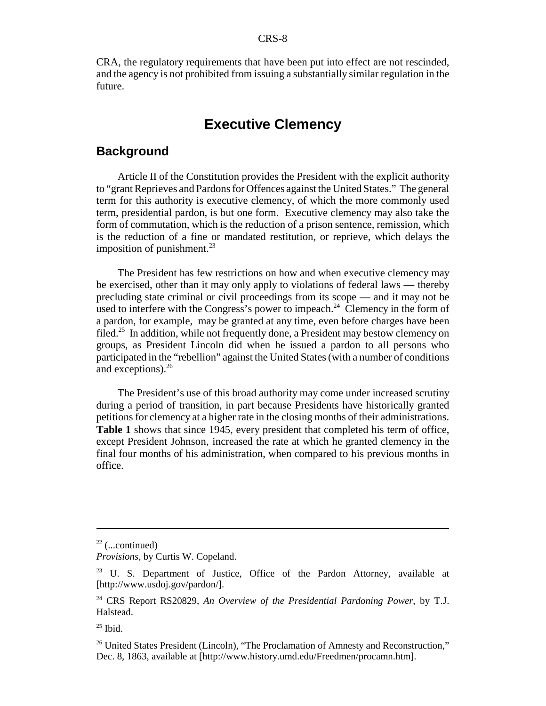CRA, the regulatory requirements that have been put into effect are not rescinded, and the agency is not prohibited from issuing a substantially similar regulation in the future.

# **Executive Clemency**

#### **Background**

Article II of the Constitution provides the President with the explicit authority to "grant Reprieves and Pardons for Offences against the United States." The general term for this authority is executive clemency, of which the more commonly used term, presidential pardon, is but one form. Executive clemency may also take the form of commutation, which is the reduction of a prison sentence, remission, which is the reduction of a fine or mandated restitution, or reprieve, which delays the imposition of punishment. $^{23}$ 

The President has few restrictions on how and when executive clemency may be exercised, other than it may only apply to violations of federal laws — thereby precluding state criminal or civil proceedings from its scope — and it may not be used to interfere with the Congress's power to impeach.<sup>24</sup> Clemency in the form of a pardon, for example, may be granted at any time, even before charges have been filed.<sup>25</sup> In addition, while not frequently done, a President may bestow clemency on groups, as President Lincoln did when he issued a pardon to all persons who participated in the "rebellion" against the United States (with a number of conditions and exceptions).<sup>26</sup>

The President's use of this broad authority may come under increased scrutiny during a period of transition, in part because Presidents have historically granted petitions for clemency at a higher rate in the closing months of their administrations. **Table 1** shows that since 1945, every president that completed his term of office, except President Johnson, increased the rate at which he granted clemency in the final four months of his administration, when compared to his previous months in office.

 $22$  (...continued)

*Provisions*, by Curtis W. Copeland.

<sup>&</sup>lt;sup>23</sup> U. S. Department of Justice, Office of the Pardon Attorney, available at [http://www.usdoj.gov/pardon/].

<sup>24</sup> CRS Report RS20829, *An Overview of the Presidential Pardoning Power*, by T.J. Halstead.

 $25$  Ibid.

<sup>&</sup>lt;sup>26</sup> United States President (Lincoln), "The Proclamation of Amnesty and Reconstruction," Dec. 8, 1863, available at [http://www.history.umd.edu/Freedmen/procamn.htm].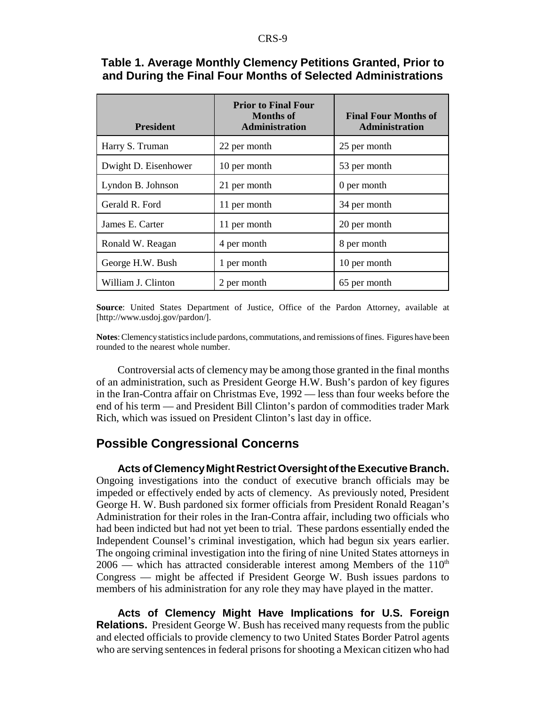| <b>President</b>     | <b>Prior to Final Four</b><br><b>Months of</b><br><b>Administration</b> | <b>Final Four Months of</b><br><b>Administration</b> |
|----------------------|-------------------------------------------------------------------------|------------------------------------------------------|
| Harry S. Truman      | 22 per month                                                            | 25 per month                                         |
| Dwight D. Eisenhower | 10 per month                                                            | 53 per month                                         |
| Lyndon B. Johnson    | 21 per month                                                            | 0 per month                                          |
| Gerald R. Ford       | 11 per month                                                            | 34 per month                                         |
| James E. Carter      | 11 per month                                                            | 20 per month                                         |
| Ronald W. Reagan     | 4 per month                                                             | 8 per month                                          |
| George H.W. Bush     | 1 per month                                                             | 10 per month                                         |
| William J. Clinton   | 2 per month                                                             | 65 per month                                         |

#### **Table 1. Average Monthly Clemency Petitions Granted, Prior to and During the Final Four Months of Selected Administrations**

**Source**: United States Department of Justice, Office of the Pardon Attorney, available at [http://www.usdoj.gov/pardon/].

**Notes**: Clemency statistics include pardons, commutations, and remissions of fines. Figures have been rounded to the nearest whole number.

Controversial acts of clemency may be among those granted in the final months of an administration, such as President George H.W. Bush's pardon of key figures in the Iran-Contra affair on Christmas Eve, 1992 — less than four weeks before the end of his term — and President Bill Clinton's pardon of commodities trader Mark Rich, which was issued on President Clinton's last day in office.

### **Possible Congressional Concerns**

**Acts of Clemency Might Restrict Oversight of the Executive Branch.** Ongoing investigations into the conduct of executive branch officials may be impeded or effectively ended by acts of clemency. As previously noted, President George H. W. Bush pardoned six former officials from President Ronald Reagan's Administration for their roles in the Iran-Contra affair, including two officials who had been indicted but had not yet been to trial. These pardons essentially ended the Independent Counsel's criminal investigation, which had begun six years earlier. The ongoing criminal investigation into the firing of nine United States attorneys in  $2006$  — which has attracted considerable interest among Members of the  $110<sup>th</sup>$ Congress — might be affected if President George W. Bush issues pardons to members of his administration for any role they may have played in the matter.

**Acts of Clemency Might Have Implications for U.S. Foreign Relations.** President George W. Bush has received many requests from the public and elected officials to provide clemency to two United States Border Patrol agents who are serving sentences in federal prisons for shooting a Mexican citizen who had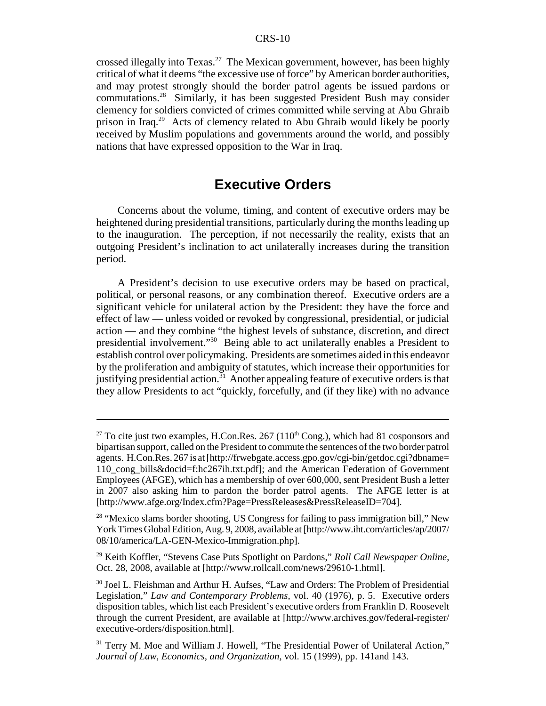crossed illegally into Texas.<sup>27</sup> The Mexican government, however, has been highly critical of what it deems "the excessive use of force" by American border authorities, and may protest strongly should the border patrol agents be issued pardons or commutations.28 Similarly, it has been suggested President Bush may consider clemency for soldiers convicted of crimes committed while serving at Abu Ghraib prison in Iraq.29 Acts of clemency related to Abu Ghraib would likely be poorly received by Muslim populations and governments around the world, and possibly nations that have expressed opposition to the War in Iraq.

# **Executive Orders**

Concerns about the volume, timing, and content of executive orders may be heightened during presidential transitions, particularly during the months leading up to the inauguration. The perception, if not necessarily the reality, exists that an outgoing President's inclination to act unilaterally increases during the transition period.

A President's decision to use executive orders may be based on practical, political, or personal reasons, or any combination thereof. Executive orders are a significant vehicle for unilateral action by the President: they have the force and effect of law — unless voided or revoked by congressional, presidential, or judicial action — and they combine "the highest levels of substance, discretion, and direct presidential involvement."30 Being able to act unilaterally enables a President to establish control over policymaking. Presidents are sometimes aided in this endeavor by the proliferation and ambiguity of statutes, which increase their opportunities for justifying presidential action.<sup>31</sup> Another appealing feature of executive orders is that they allow Presidents to act "quickly, forcefully, and (if they like) with no advance

<sup>&</sup>lt;sup>27</sup> To cite just two examples, H.Con.Res. 267 (110<sup>th</sup> Cong.), which had 81 cosponsors and bipartisan support, called on the President to commute the sentences of the two border patrol agents. H.Con.Res. 267 is at [http://frwebgate.access.gpo.gov/cgi-bin/getdoc.cgi?dbname= 110\_cong\_bills&docid=f:hc267ih.txt.pdf]; and the American Federation of Government Employees (AFGE), which has a membership of over 600,000, sent President Bush a letter in 2007 also asking him to pardon the border patrol agents. The AFGE letter is at [http://www.afge.org/Index.cfm?Page=PressReleases&PressReleaseID=704].

<sup>&</sup>lt;sup>28</sup> "Mexico slams border shooting, US Congress for failing to pass immigration bill," New York Times Global Edition, Aug. 9, 2008, available at [http://www.iht.com/articles/ap/2007/ 08/10/america/LA-GEN-Mexico-Immigration.php].

<sup>29</sup> Keith Koffler, "Stevens Case Puts Spotlight on Pardons," *Roll Call Newspaper Online*, Oct. 28, 2008, available at [http://www.rollcall.com/news/29610-1.html].

<sup>30</sup> Joel L. Fleishman and Arthur H. Aufses, "Law and Orders: The Problem of Presidential Legislation," *Law and Contemporary Problems*, vol. 40 (1976), p. 5. Executive orders disposition tables, which list each President's executive orders from Franklin D. Roosevelt through the current President, are available at [http://www.archives.gov/federal-register/ executive-orders/disposition.html].

<sup>&</sup>lt;sup>31</sup> Terry M. Moe and William J. Howell, "The Presidential Power of Unilateral Action," *Journal of Law, Economics, and Organization*, vol. 15 (1999), pp. 141and 143.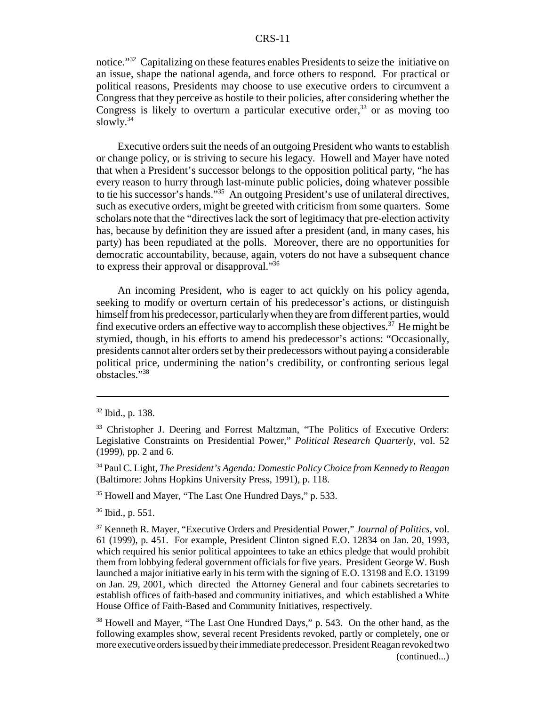notice."32 Capitalizing on these features enables Presidents to seize the initiative on an issue, shape the national agenda, and force others to respond. For practical or political reasons, Presidents may choose to use executive orders to circumvent a Congress that they perceive as hostile to their policies, after considering whether the Congress is likely to overturn a particular executive order.<sup>33</sup> or as moving too slowly. $34$ 

Executive orders suit the needs of an outgoing President who wants to establish or change policy, or is striving to secure his legacy. Howell and Mayer have noted that when a President's successor belongs to the opposition political party, "he has every reason to hurry through last-minute public policies, doing whatever possible to tie his successor's hands.<sup>"35</sup> An outgoing President's use of unilateral directives, such as executive orders, might be greeted with criticism from some quarters. Some scholars note that the "directives lack the sort of legitimacy that pre-election activity has, because by definition they are issued after a president (and, in many cases, his party) has been repudiated at the polls. Moreover, there are no opportunities for democratic accountability, because, again, voters do not have a subsequent chance to express their approval or disapproval."36

An incoming President, who is eager to act quickly on his policy agenda, seeking to modify or overturn certain of his predecessor's actions, or distinguish himself from his predecessor, particularly when they are from different parties, would find executive orders an effective way to accomplish these objectives.<sup> $37$ </sup> He might be stymied, though, in his efforts to amend his predecessor's actions: "Occasionally, presidents cannot alter orders set by their predecessors without paying a considerable political price, undermining the nation's credibility, or confronting serious legal obstacles."38

34 Paul C. Light, *The President's Agenda: Domestic Policy Choice from Kennedy to Reagan* (Baltimore: Johns Hopkins University Press, 1991), p. 118.

<sup>35</sup> Howell and Mayer, "The Last One Hundred Days," p. 533.

36 Ibid., p. 551.

38 Howell and Mayer, "The Last One Hundred Days," p. 543. On the other hand, as the following examples show, several recent Presidents revoked, partly or completely, one or more executive orders issued by their immediate predecessor. President Reagan revoked two (continued...)

<sup>32</sup> Ibid., p. 138.

<sup>&</sup>lt;sup>33</sup> Christopher J. Deering and Forrest Maltzman, "The Politics of Executive Orders: Legislative Constraints on Presidential Power," *Political Research Quarterly*, vol. 52 (1999), pp. 2 and 6.

<sup>37</sup> Kenneth R. Mayer, "Executive Orders and Presidential Power," *Journal of Politics*, vol. 61 (1999), p. 451. For example, President Clinton signed E.O. 12834 on Jan. 20, 1993, which required his senior political appointees to take an ethics pledge that would prohibit them from lobbying federal government officials for five years. President George W. Bush launched a major initiative early in his term with the signing of E.O. 13198 and E.O. 13199 on Jan. 29, 2001, which directed the Attorney General and four cabinets secretaries to establish offices of faith-based and community initiatives, and which established a White House Office of Faith-Based and Community Initiatives, respectively.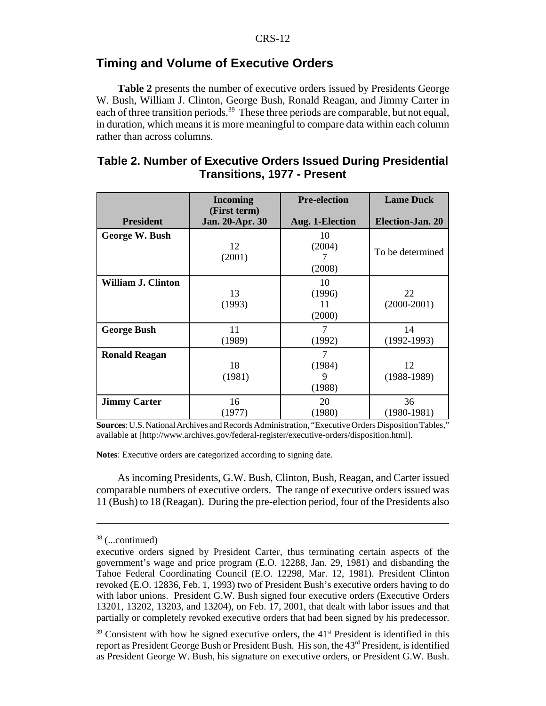### **Timing and Volume of Executive Orders**

**Table 2** presents the number of executive orders issued by Presidents George W. Bush, William J. Clinton, George Bush, Ronald Reagan, and Jimmy Carter in each of three transition periods.<sup>39</sup> These three periods are comparable, but not equal, in duration, which means it is more meaningful to compare data within each column rather than across columns.

| Table 2. Number of Executive Orders Issued During Presidential |
|----------------------------------------------------------------|
| <b>Transitions, 1977 - Present</b>                             |

|                           | <b>Incoming</b>                 | <b>Pre-election</b>          | <b>Lame Duck</b>    |
|---------------------------|---------------------------------|------------------------------|---------------------|
| <b>President</b>          | (First term)<br>Jan. 20-Apr. 30 | Aug. 1-Election              | Election-Jan. 20    |
| George W. Bush            | 12<br>(2001)                    | 10<br>(2004)<br>7<br>(2008)  | To be determined    |
| <b>William J. Clinton</b> | 13<br>(1993)                    | 10<br>(1996)<br>11<br>(2000) | 22<br>$(2000-2001)$ |
| <b>George Bush</b>        | 11<br>(1989)                    | $\overline{7}$<br>(1992)     | 14<br>$(1992-1993)$ |
| <b>Ronald Reagan</b>      | 18<br>(1981)                    | 7<br>(1984)<br>9<br>(1988)   | 12<br>$(1988-1989)$ |
| <b>Jimmy Carter</b>       | 16<br>(1977)                    | 20<br>(1980)                 | 36<br>$(1980-1981)$ |

**Sources**: U.S. National Archives and Records Administration, "Executive Orders Disposition Tables," available at [http://www.archives.gov/federal-register/executive-orders/disposition.html].

**Notes**: Executive orders are categorized according to signing date.

As incoming Presidents, G.W. Bush, Clinton, Bush, Reagan, and Carter issued comparable numbers of executive orders. The range of executive orders issued was 11 (Bush) to 18 (Reagan). During the pre-election period, four of the Presidents also

<sup>38 (...</sup>continued)

executive orders signed by President Carter, thus terminating certain aspects of the government's wage and price program (E.O. 12288, Jan. 29, 1981) and disbanding the Tahoe Federal Coordinating Council (E.O. 12298, Mar. 12, 1981). President Clinton revoked (E.O. 12836, Feb. 1, 1993) two of President Bush's executive orders having to do with labor unions. President G.W. Bush signed four executive orders (Executive Orders 13201, 13202, 13203, and 13204), on Feb. 17, 2001, that dealt with labor issues and that partially or completely revoked executive orders that had been signed by his predecessor.

 $39$  Consistent with how he signed executive orders, the  $41<sup>st</sup>$  President is identified in this report as President George Bush or President Bush. His son, the  $43<sup>rd</sup>$  President, is identified as President George W. Bush, his signature on executive orders, or President G.W. Bush.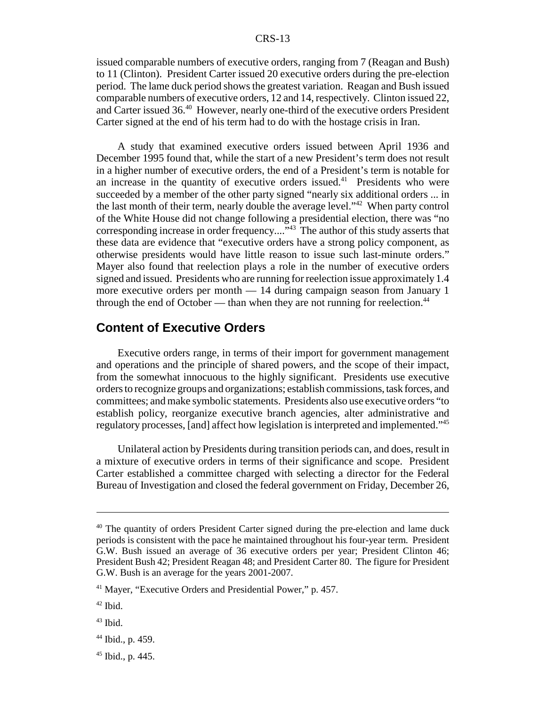issued comparable numbers of executive orders, ranging from 7 (Reagan and Bush) to 11 (Clinton). President Carter issued 20 executive orders during the pre-election period. The lame duck period shows the greatest variation. Reagan and Bush issued comparable numbers of executive orders, 12 and 14, respectively. Clinton issued 22, and Carter issued 36.40 However, nearly one-third of the executive orders President Carter signed at the end of his term had to do with the hostage crisis in Iran.

A study that examined executive orders issued between April 1936 and December 1995 found that, while the start of a new President's term does not result in a higher number of executive orders, the end of a President's term is notable for an increase in the quantity of executive orders issued.<sup>41</sup> Presidents who were succeeded by a member of the other party signed "nearly six additional orders ... in the last month of their term, nearly double the average level."42 When party control of the White House did not change following a presidential election, there was "no corresponding increase in order frequency...."<sup>43</sup> The author of this study asserts that these data are evidence that "executive orders have a strong policy component, as otherwise presidents would have little reason to issue such last-minute orders." Mayer also found that reelection plays a role in the number of executive orders signed and issued. Presidents who are running for reelection issue approximately 1.4 more executive orders per month — 14 during campaign season from January 1 through the end of October — than when they are not running for reelection.<sup>44</sup>

### **Content of Executive Orders**

Executive orders range, in terms of their import for government management and operations and the principle of shared powers, and the scope of their impact, from the somewhat innocuous to the highly significant. Presidents use executive orders to recognize groups and organizations; establish commissions, task forces, and committees; and make symbolic statements. Presidents also use executive orders "to establish policy, reorganize executive branch agencies, alter administrative and regulatory processes, [and] affect how legislation is interpreted and implemented."45

Unilateral action by Presidents during transition periods can, and does, result in a mixture of executive orders in terms of their significance and scope. President Carter established a committee charged with selecting a director for the Federal Bureau of Investigation and closed the federal government on Friday, December 26,

<sup>&</sup>lt;sup>40</sup> The quantity of orders President Carter signed during the pre-election and lame duck periods is consistent with the pace he maintained throughout his four-year term. President G.W. Bush issued an average of 36 executive orders per year; President Clinton 46; President Bush 42; President Reagan 48; and President Carter 80. The figure for President G.W. Bush is an average for the years 2001-2007.

<sup>41</sup> Mayer, "Executive Orders and Presidential Power," p. 457.

<sup>42</sup> Ibid.

<sup>43</sup> Ibid.

<sup>&</sup>lt;sup>44</sup> Ibid., p. 459.

 $45$  Ibid., p. 445.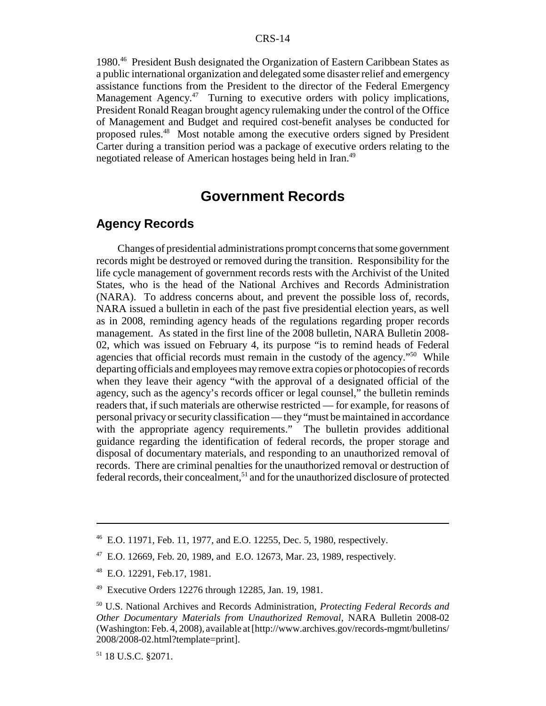1980.46 President Bush designated the Organization of Eastern Caribbean States as a public international organization and delegated some disaster relief and emergency assistance functions from the President to the director of the Federal Emergency Management Agency.<sup>47</sup> Turning to executive orders with policy implications, President Ronald Reagan brought agency rulemaking under the control of the Office of Management and Budget and required cost-benefit analyses be conducted for proposed rules.48 Most notable among the executive orders signed by President Carter during a transition period was a package of executive orders relating to the negotiated release of American hostages being held in Iran.<sup>49</sup>

# **Government Records**

## **Agency Records**

Changes of presidential administrations prompt concerns that some government records might be destroyed or removed during the transition. Responsibility for the life cycle management of government records rests with the Archivist of the United States, who is the head of the National Archives and Records Administration (NARA). To address concerns about, and prevent the possible loss of, records, NARA issued a bulletin in each of the past five presidential election years, as well as in 2008, reminding agency heads of the regulations regarding proper records management. As stated in the first line of the 2008 bulletin, NARA Bulletin 2008- 02, which was issued on February 4, its purpose "is to remind heads of Federal agencies that official records must remain in the custody of the agency."<sup>50</sup> While departing officials and employees may remove extra copies or photocopies of records when they leave their agency "with the approval of a designated official of the agency, such as the agency's records officer or legal counsel," the bulletin reminds readers that, if such materials are otherwise restricted — for example, for reasons of personal privacy or security classification — they "must be maintained in accordance with the appropriate agency requirements." The bulletin provides additional guidance regarding the identification of federal records, the proper storage and disposal of documentary materials, and responding to an unauthorized removal of records. There are criminal penalties for the unauthorized removal or destruction of  $f$ ederal records, their concealment,<sup>51</sup> and for the unauthorized disclosure of protected

<sup>46</sup> E.O. 11971, Feb. 11, 1977, and E.O. 12255, Dec. 5, 1980, respectively.

<sup>47</sup> E.O. 12669, Feb. 20, 1989, and E.O. 12673, Mar. 23, 1989, respectively.

<sup>48</sup> E.O. 12291, Feb.17, 1981.

<sup>49</sup> Executive Orders 12276 through 12285, Jan. 19, 1981.

<sup>50</sup> U.S. National Archives and Records Administration, *Protecting Federal Records and Other Documentary Materials from Unauthorized Removal*, NARA Bulletin 2008-02 (Washington: Feb. 4, 2008), available at [http://www.archives.gov/records-mgmt/bulletins/ 2008/2008-02.html?template=print].

<sup>51 18</sup> U.S.C. §2071.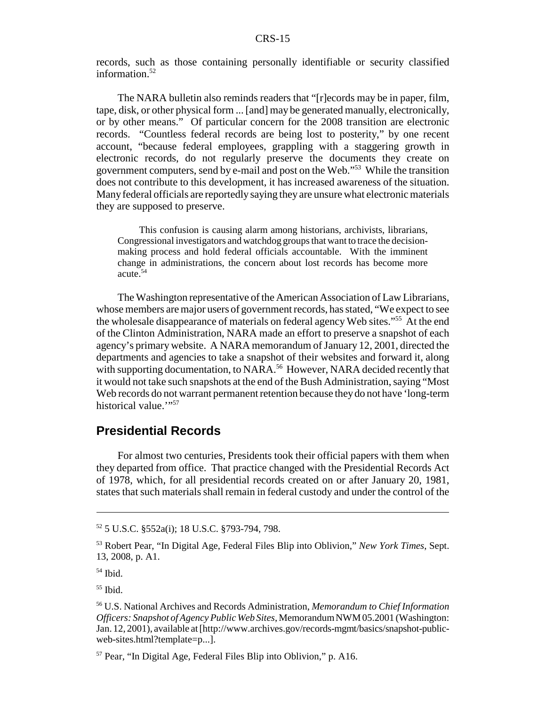records, such as those containing personally identifiable or security classified information.<sup>52</sup>

The NARA bulletin also reminds readers that "[r]ecords may be in paper, film, tape, disk, or other physical form ... [and] may be generated manually, electronically, or by other means." Of particular concern for the 2008 transition are electronic records. "Countless federal records are being lost to posterity," by one recent account, "because federal employees, grappling with a staggering growth in electronic records, do not regularly preserve the documents they create on government computers, send by e-mail and post on the Web."53 While the transition does not contribute to this development, it has increased awareness of the situation. Many federal officials are reportedly saying they are unsure what electronic materials they are supposed to preserve.

This confusion is causing alarm among historians, archivists, librarians, Congressional investigators and watchdog groups that want to trace the decisionmaking process and hold federal officials accountable. With the imminent change in administrations, the concern about lost records has become more acute.54

The Washington representative of the American Association of Law Librarians, whose members are major users of government records, has stated, "We expect to see the wholesale disappearance of materials on federal agency Web sites."<sup>55</sup> At the end of the Clinton Administration, NARA made an effort to preserve a snapshot of each agency's primary website. A NARA memorandum of January 12, 2001, directed the departments and agencies to take a snapshot of their websites and forward it, along with supporting documentation, to NARA.<sup>56</sup> However, NARA decided recently that it would not take such snapshots at the end of the Bush Administration, saying "Most Web records do not warrant permanent retention because they do not have 'long-term historical value.""<sup>57</sup>

### **Presidential Records**

For almost two centuries, Presidents took their official papers with them when they departed from office. That practice changed with the Presidential Records Act of 1978, which, for all presidential records created on or after January 20, 1981, states that such materials shall remain in federal custody and under the control of the

<sup>52 5</sup> U.S.C. §552a(i); 18 U.S.C. §793-794, 798.

<sup>53</sup> Robert Pear, "In Digital Age, Federal Files Blip into Oblivion," *New York Times*, Sept. 13, 2008, p. A1.

 $54$  Ibid.

 $55$  Ibid.

<sup>56</sup> U.S. National Archives and Records Administration, *Memorandum to Chief Information Officers: Snapshot of Agency Public Web Sites*, Memorandum NWM 05.2001 (Washington: Jan. 12, 2001), available at [http://www.archives.gov/records-mgmt/basics/snapshot-publicweb-sites.html?template=p...].

<sup>57</sup> Pear, "In Digital Age, Federal Files Blip into Oblivion," p. A16.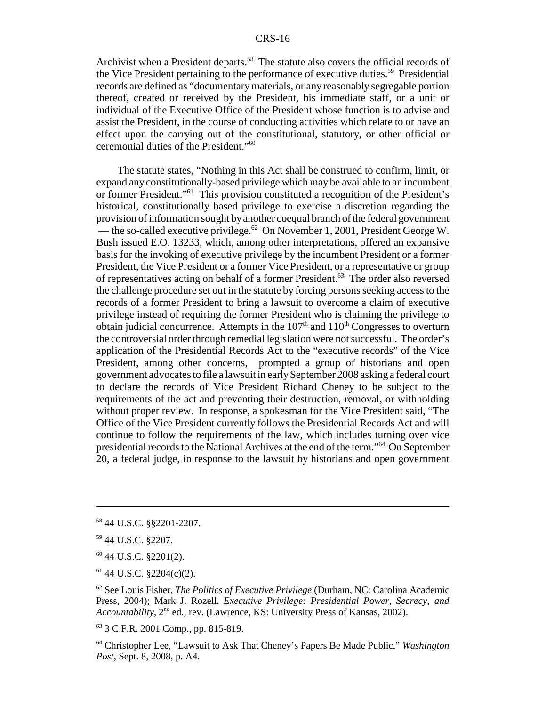Archivist when a President departs.<sup>58</sup> The statute also covers the official records of the Vice President pertaining to the performance of executive duties.<sup>59</sup> Presidential records are defined as "documentary materials, or any reasonably segregable portion thereof, created or received by the President, his immediate staff, or a unit or individual of the Executive Office of the President whose function is to advise and assist the President, in the course of conducting activities which relate to or have an effect upon the carrying out of the constitutional, statutory, or other official or ceremonial duties of the President."60

The statute states, "Nothing in this Act shall be construed to confirm, limit, or expand any constitutionally-based privilege which may be available to an incumbent or former President."61 This provision constituted a recognition of the President's historical, constitutionally based privilege to exercise a discretion regarding the provision of information sought by another coequal branch of the federal government — the so-called executive privilege.<sup>62</sup> On November 1, 2001, President George W. Bush issued E.O. 13233, which, among other interpretations, offered an expansive basis for the invoking of executive privilege by the incumbent President or a former President, the Vice President or a former Vice President, or a representative or group of representatives acting on behalf of a former President.63 The order also reversed the challenge procedure set out in the statute by forcing persons seeking access to the records of a former President to bring a lawsuit to overcome a claim of executive privilege instead of requiring the former President who is claiming the privilege to obtain judicial concurrence. Attempts in the  $107<sup>th</sup>$  and  $110<sup>th</sup>$  Congresses to overturn the controversial order through remedial legislation were not successful. The order's application of the Presidential Records Act to the "executive records" of the Vice President, among other concerns, prompted a group of historians and open government advocates to file a lawsuit in early September 2008 asking a federal court to declare the records of Vice President Richard Cheney to be subject to the requirements of the act and preventing their destruction, removal, or withholding without proper review. In response, a spokesman for the Vice President said, "The Office of the Vice President currently follows the Presidential Records Act and will continue to follow the requirements of the law, which includes turning over vice presidential records to the National Archives at the end of the term."64 On September 20, a federal judge, in response to the lawsuit by historians and open government

<sup>58 44</sup> U.S.C. §§2201-2207.

<sup>59 44</sup> U.S.C. §2207.

<sup>60 44</sup> U.S.C. §2201(2).

 $61$  44 U.S.C. §2204(c)(2).

<sup>62</sup> See Louis Fisher, *The Politics of Executive Privilege* (Durham, NC: Carolina Academic Press, 2004); Mark J. Rozell, *Executive Privilege: Presidential Power, Secrecy, and Accountability*, 2nd ed., rev. (Lawrence, KS: University Press of Kansas, 2002).

<sup>63 3</sup> C.F.R. 2001 Comp., pp. 815-819.

<sup>64</sup> Christopher Lee, "Lawsuit to Ask That Cheney's Papers Be Made Public," *Washington Post*, Sept. 8, 2008, p. A4.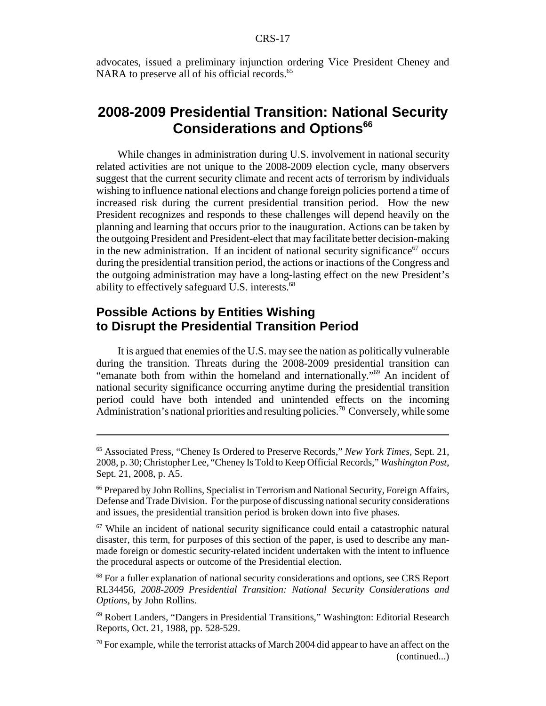advocates, issued a preliminary injunction ordering Vice President Cheney and NARA to preserve all of his official records.<sup>65</sup>

# **2008-2009 Presidential Transition: National Security Considerations and Options<sup>66</sup>**

While changes in administration during U.S. involvement in national security related activities are not unique to the 2008-2009 election cycle, many observers suggest that the current security climate and recent acts of terrorism by individuals wishing to influence national elections and change foreign policies portend a time of increased risk during the current presidential transition period. How the new President recognizes and responds to these challenges will depend heavily on the planning and learning that occurs prior to the inauguration. Actions can be taken by the outgoing President and President-elect that may facilitate better decision-making in the new administration. If an incident of national security significance<sup>67</sup> occurs during the presidential transition period, the actions or inactions of the Congress and the outgoing administration may have a long-lasting effect on the new President's ability to effectively safeguard U.S. interests.<sup>68</sup>

# **Possible Actions by Entities Wishing to Disrupt the Presidential Transition Period**

It is argued that enemies of the U.S. may see the nation as politically vulnerable during the transition. Threats during the 2008-2009 presidential transition can "emanate both from within the homeland and internationally."69 An incident of national security significance occurring anytime during the presidential transition period could have both intended and unintended effects on the incoming Administration's national priorities and resulting policies.<sup>70</sup> Conversely, while some

<sup>65</sup> Associated Press, "Cheney Is Ordered to Preserve Records," *New York Times*, Sept. 21, 2008, p. 30; Christopher Lee, "Cheney Is Told to Keep Official Records," *Washington Post*, Sept. 21, 2008, p. A5.

<sup>66</sup> Prepared by John Rollins, Specialist in Terrorism and National Security, Foreign Affairs, Defense and Trade Division. For the purpose of discussing national security considerations and issues, the presidential transition period is broken down into five phases.

 $67$  While an incident of national security significance could entail a catastrophic natural disaster, this term, for purposes of this section of the paper, is used to describe any manmade foreign or domestic security-related incident undertaken with the intent to influence the procedural aspects or outcome of the Presidential election.

<sup>&</sup>lt;sup>68</sup> For a fuller explanation of national security considerations and options, see CRS Report RL34456, *2008-2009 Presidential Transition: National Security Considerations and Options*, by John Rollins.

<sup>69</sup> Robert Landers, "Dangers in Presidential Transitions," Washington: Editorial Research Reports, Oct. 21, 1988, pp. 528-529.

 $70$  For example, while the terrorist attacks of March 2004 did appear to have an affect on the (continued...)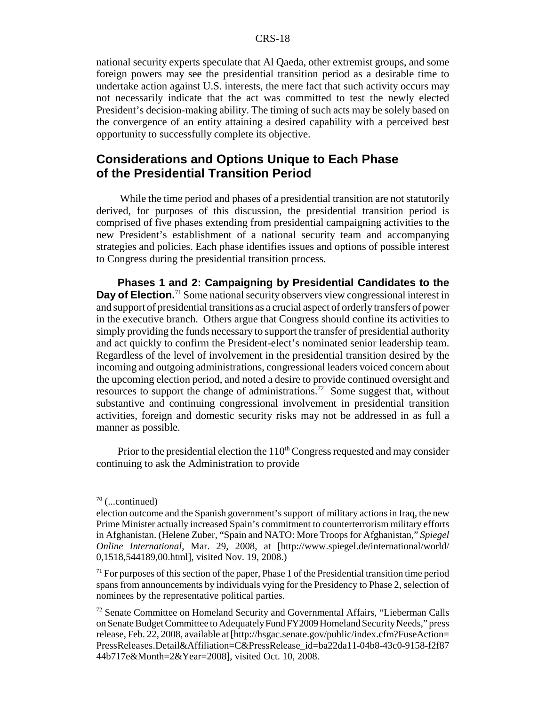national security experts speculate that Al Qaeda, other extremist groups, and some foreign powers may see the presidential transition period as a desirable time to undertake action against U.S. interests, the mere fact that such activity occurs may not necessarily indicate that the act was committed to test the newly elected President's decision-making ability. The timing of such acts may be solely based on the convergence of an entity attaining a desired capability with a perceived best opportunity to successfully complete its objective.

### **Considerations and Options Unique to Each Phase of the Presidential Transition Period**

 While the time period and phases of a presidential transition are not statutorily derived, for purposes of this discussion, the presidential transition period is comprised of five phases extending from presidential campaigning activities to the new President's establishment of a national security team and accompanying strategies and policies. Each phase identifies issues and options of possible interest to Congress during the presidential transition process.

**Phases 1 and 2: Campaigning by Presidential Candidates to the Day of Election.**<sup>71</sup> Some national security observers view congressional interest in and support of presidential transitions as a crucial aspect of orderly transfers of power in the executive branch. Others argue that Congress should confine its activities to simply providing the funds necessary to support the transfer of presidential authority and act quickly to confirm the President-elect's nominated senior leadership team. Regardless of the level of involvement in the presidential transition desired by the incoming and outgoing administrations, congressional leaders voiced concern about the upcoming election period, and noted a desire to provide continued oversight and resources to support the change of administrations.72 Some suggest that, without substantive and continuing congressional involvement in presidential transition activities, foreign and domestic security risks may not be addressed in as full a manner as possible.

Prior to the presidential election the  $110<sup>th</sup>$  Congress requested and may consider continuing to ask the Administration to provide

 $70$  (...continued)

election outcome and the Spanish government's support of military actions in Iraq, the new Prime Minister actually increased Spain's commitment to counterterrorism military efforts in Afghanistan. (Helene Zuber, "Spain and NATO: More Troops for Afghanistan," *Spiegel Online International*, Mar. 29, 2008, at [http://www.spiegel.de/international/world/ 0,1518,544189,00.html], visited Nov. 19, 2008.)

 $71$  For purposes of this section of the paper, Phase 1 of the Presidential transition time period spans from announcements by individuals vying for the Presidency to Phase 2, selection of nominees by the representative political parties.

<sup>&</sup>lt;sup>72</sup> Senate Committee on Homeland Security and Governmental Affairs, "Lieberman Calls on Senate Budget Committee to Adequately Fund FY2009 Homeland Security Needs," press release, Feb. 22, 2008, available at [http://hsgac.senate.gov/public/index.cfm?FuseAction= PressReleases.Detail&Affiliation=C&PressRelease\_id=ba22da11-04b8-43c0-9158-f2f87 44b717e&Month=2&Year=2008], visited Oct. 10, 2008.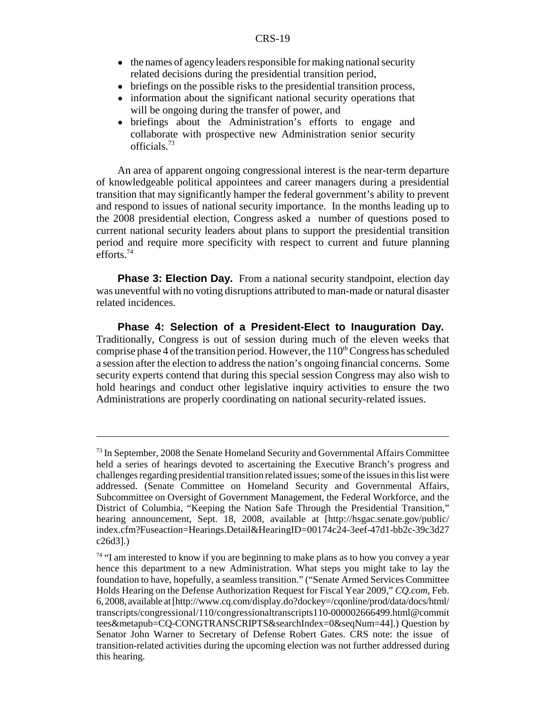- the names of agency leaders responsible for making national security related decisions during the presidential transition period,
- briefings on the possible risks to the presidential transition process,
- information about the significant national security operations that will be ongoing during the transfer of power, and
- ! briefings about the Administration's efforts to engage and collaborate with prospective new Administration senior security officials.73

An area of apparent ongoing congressional interest is the near-term departure of knowledgeable political appointees and career managers during a presidential transition that may significantly hamper the federal government's ability to prevent and respond to issues of national security importance. In the months leading up to the 2008 presidential election, Congress asked a number of questions posed to current national security leaders about plans to support the presidential transition period and require more specificity with respect to current and future planning efforts.74

**Phase 3: Election Day.** From a national security standpoint, election day was uneventful with no voting disruptions attributed to man-made or natural disaster related incidences.

**Phase 4: Selection of a President-Elect to Inauguration Day.** Traditionally, Congress is out of session during much of the eleven weeks that comprise phase 4 of the transition period. However, the  $110<sup>th</sup>$  Congress has scheduled a session after the election to address the nation's ongoing financial concerns. Some security experts contend that during this special session Congress may also wish to hold hearings and conduct other legislative inquiry activities to ensure the two Administrations are properly coordinating on national security-related issues.

<sup>&</sup>lt;sup>73</sup> In September, 2008 the Senate Homeland Security and Governmental Affairs Committee held a series of hearings devoted to ascertaining the Executive Branch's progress and challenges regarding presidential transition related issues; some of the issues in this list were addressed. (Senate Committee on Homeland Security and Governmental Affairs, Subcommittee on Oversight of Government Management, the Federal Workforce, and the District of Columbia, "Keeping the Nation Safe Through the Presidential Transition," hearing announcement, Sept. 18, 2008, available at [http://hsgac.senate.gov/public/ index.cfm?Fuseaction=Hearings.Detail&HearingID=00174c24-3eef-47d1-bb2c-39c3d27 c26d3].)

<sup>&</sup>lt;sup>74</sup> "I am interested to know if you are beginning to make plans as to how you convey a year hence this department to a new Administration. What steps you might take to lay the foundation to have, hopefully, a seamless transition." ("Senate Armed Services Committee Holds Hearing on the Defense Authorization Request for Fiscal Year 2009," *CQ.com*, Feb. 6, 2008, available at [http://www.cq.com/display.do?dockey=/cqonline/prod/data/docs/html/ transcripts/congressional/110/congressionaltranscripts110-000002666499.html@commit tees&metapub=CQ-CONGTRANSCRIPTS&searchIndex=0&seqNum=44].) Question by Senator John Warner to Secretary of Defense Robert Gates. CRS note: the issue of transition-related activities during the upcoming election was not further addressed during this hearing.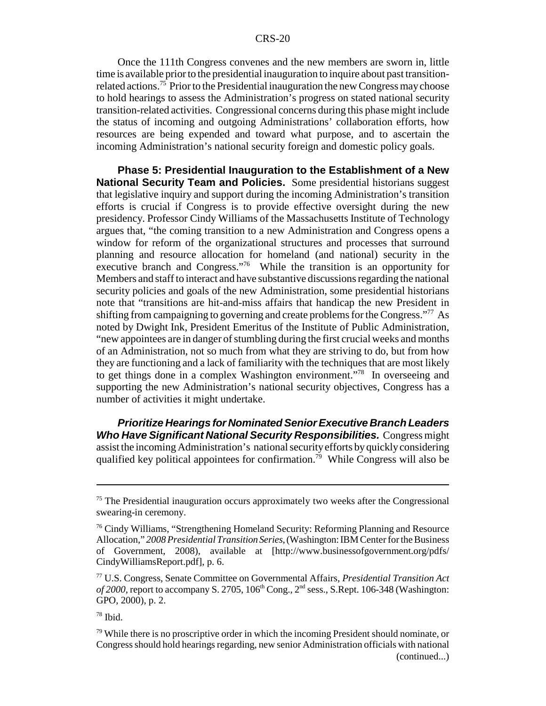Once the 111th Congress convenes and the new members are sworn in, little time is available prior to the presidential inauguration to inquire about past transitionrelated actions.75 Prior to the Presidential inauguration the new Congress may choose to hold hearings to assess the Administration's progress on stated national security transition-related activities. Congressional concerns during this phase might include the status of incoming and outgoing Administrations' collaboration efforts, how resources are being expended and toward what purpose, and to ascertain the incoming Administration's national security foreign and domestic policy goals.

**Phase 5: Presidential Inauguration to the Establishment of a New National Security Team and Policies.** Some presidential historians suggest that legislative inquiry and support during the incoming Administration's transition efforts is crucial if Congress is to provide effective oversight during the new presidency. Professor Cindy Williams of the Massachusetts Institute of Technology argues that, "the coming transition to a new Administration and Congress opens a window for reform of the organizational structures and processes that surround planning and resource allocation for homeland (and national) security in the executive branch and Congress."76 While the transition is an opportunity for Members and staff to interact and have substantive discussions regarding the national security policies and goals of the new Administration, some presidential historians note that "transitions are hit-and-miss affairs that handicap the new President in shifting from campaigning to governing and create problems for the Congress."77 As noted by Dwight Ink, President Emeritus of the Institute of Public Administration, "new appointees are in danger of stumbling during the first crucial weeks and months of an Administration, not so much from what they are striving to do, but from how they are functioning and a lack of familiarity with the techniques that are most likely to get things done in a complex Washington environment."78 In overseeing and supporting the new Administration's national security objectives, Congress has a number of activities it might undertake.

*Prioritize Hearings for Nominated Senior Executive Branch Leaders Who Have Significant National Security Responsibilities.* Congress might assist the incoming Administration's national security efforts by quickly considering qualified key political appointees for confirmation.<sup>79</sup> While Congress will also be

 $75$  The Presidential inauguration occurs approximately two weeks after the Congressional swearing-in ceremony.

<sup>76</sup> Cindy Williams, "Strengthening Homeland Security: Reforming Planning and Resource Allocation," *2008 Presidential Transition Series*, (Washington: IBM Center for the Business of Government, 2008), available at [http://www.businessofgovernment.org/pdfs/ CindyWilliamsReport.pdf], p. 6.

<sup>77</sup> U.S. Congress, Senate Committee on Governmental Affairs, *Presidential Transition Act*  $of 2000$ , report to accompany S. 2705,  $106<sup>th</sup> Cong., 2<sup>nd</sup> sess., S. Rept. 106-348 (Washington: 106-348)$ GPO, 2000), p. 2.

 $78$  Ibid.

 $79$  While there is no proscriptive order in which the incoming President should nominate, or Congress should hold hearings regarding, new senior Administration officials with national (continued...)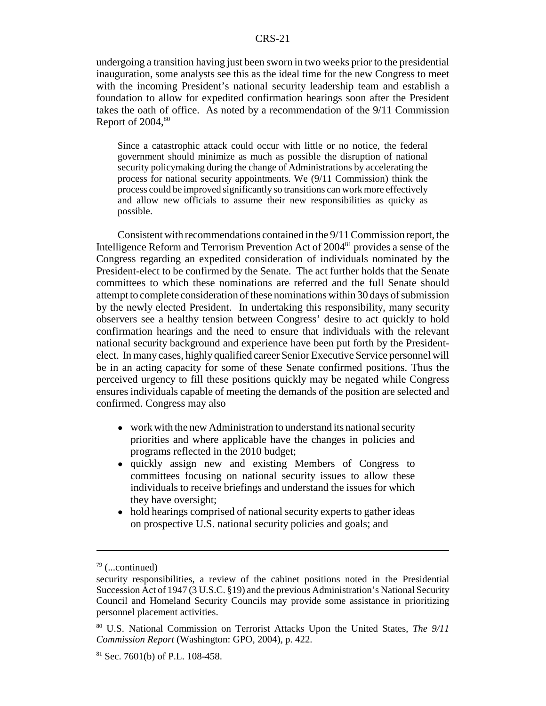undergoing a transition having just been sworn in two weeks prior to the presidential inauguration, some analysts see this as the ideal time for the new Congress to meet with the incoming President's national security leadership team and establish a foundation to allow for expedited confirmation hearings soon after the President takes the oath of office. As noted by a recommendation of the 9/11 Commission Report of 2004.<sup>80</sup>

Since a catastrophic attack could occur with little or no notice, the federal government should minimize as much as possible the disruption of national security policymaking during the change of Administrations by accelerating the process for national security appointments. We (9/11 Commission) think the process could be improved significantly so transitions can work more effectively and allow new officials to assume their new responsibilities as quicky as possible.

Consistent with recommendations contained in the 9/11 Commission report, the Intelligence Reform and Terrorism Prevention Act of 200481 provides a sense of the Congress regarding an expedited consideration of individuals nominated by the President-elect to be confirmed by the Senate. The act further holds that the Senate committees to which these nominations are referred and the full Senate should attempt to complete consideration of these nominations within 30 days of submission by the newly elected President. In undertaking this responsibility, many security observers see a healthy tension between Congress' desire to act quickly to hold confirmation hearings and the need to ensure that individuals with the relevant national security background and experience have been put forth by the Presidentelect. In many cases, highly qualified career Senior Executive Service personnel will be in an acting capacity for some of these Senate confirmed positions. Thus the perceived urgency to fill these positions quickly may be negated while Congress ensures individuals capable of meeting the demands of the position are selected and confirmed. Congress may also

- work with the new Administration to understand its national security priorities and where applicable have the changes in policies and programs reflected in the 2010 budget;
- ! quickly assign new and existing Members of Congress to committees focusing on national security issues to allow these individuals to receive briefings and understand the issues for which they have oversight;
- hold hearings comprised of national security experts to gather ideas on prospective U.S. national security policies and goals; and

 $79$  (...continued)

security responsibilities, a review of the cabinet positions noted in the Presidential Succession Act of 1947 (3 U.S.C. §19) and the previous Administration's National Security Council and Homeland Security Councils may provide some assistance in prioritizing personnel placement activities.

<sup>80</sup> U.S. National Commission on Terrorist Attacks Upon the United States, *The 9/11 Commission Report* (Washington: GPO, 2004), p. 422.

 $81$  Sec. 7601(b) of P.L. 108-458.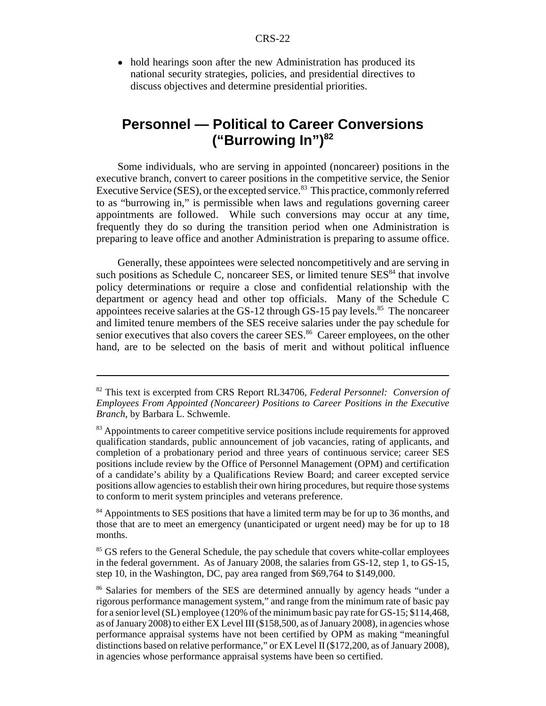• hold hearings soon after the new Administration has produced its national security strategies, policies, and presidential directives to discuss objectives and determine presidential priorities.

# **Personnel — Political to Career Conversions ("Burrowing In")82**

Some individuals, who are serving in appointed (noncareer) positions in the executive branch, convert to career positions in the competitive service, the Senior Executive Service (SES), or the excepted service. $83$  This practice, commonly referred to as "burrowing in," is permissible when laws and regulations governing career appointments are followed. While such conversions may occur at any time, frequently they do so during the transition period when one Administration is preparing to leave office and another Administration is preparing to assume office.

Generally, these appointees were selected noncompetitively and are serving in such positions as Schedule C, noncareer SES, or limited tenure  $SES<sup>84</sup>$  that involve policy determinations or require a close and confidential relationship with the department or agency head and other top officials. Many of the Schedule C appointees receive salaries at the GS-12 through GS-15 pay levels.<sup>85</sup> The noncareer and limited tenure members of the SES receive salaries under the pay schedule for senior executives that also covers the career SES.<sup>86</sup> Career employees, on the other hand, are to be selected on the basis of merit and without political influence

<sup>84</sup> Appointments to SES positions that have a limited term may be for up to 36 months, and those that are to meet an emergency (unanticipated or urgent need) may be for up to 18 months.

<sup>85</sup> GS refers to the General Schedule, the pay schedule that covers white-collar employees in the federal government. As of January 2008, the salaries from GS-12, step 1, to GS-15, step 10, in the Washington, DC, pay area ranged from \$69,764 to \$149,000.

<sup>82</sup> This text is excerpted from CRS Report RL34706, *Federal Personnel: Conversion of Employees From Appointed (Noncareer) Positions to Career Positions in the Executive Branch*, by Barbara L. Schwemle.

<sup>&</sup>lt;sup>83</sup> Appointments to career competitive service positions include requirements for approved qualification standards, public announcement of job vacancies, rating of applicants, and completion of a probationary period and three years of continuous service; career SES positions include review by the Office of Personnel Management (OPM) and certification of a candidate's ability by a Qualifications Review Board; and career excepted service positions allow agencies to establish their own hiring procedures, but require those systems to conform to merit system principles and veterans preference.

<sup>86</sup> Salaries for members of the SES are determined annually by agency heads "under a rigorous performance management system," and range from the minimum rate of basic pay for a senior level (SL) employee (120% of the minimum basic pay rate for GS-15; \$114,468, as of January 2008) to either EX Level III (\$158,500, as of January 2008), in agencies whose performance appraisal systems have not been certified by OPM as making "meaningful distinctions based on relative performance," or EX Level II (\$172,200, as of January 2008), in agencies whose performance appraisal systems have been so certified.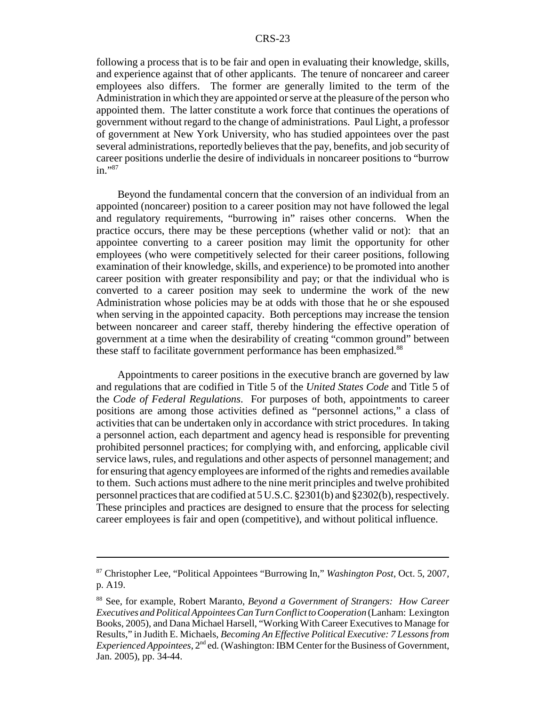following a process that is to be fair and open in evaluating their knowledge, skills, and experience against that of other applicants. The tenure of noncareer and career employees also differs. The former are generally limited to the term of the Administration in which they are appointed or serve at the pleasure of the person who appointed them. The latter constitute a work force that continues the operations of government without regard to the change of administrations. Paul Light, a professor of government at New York University, who has studied appointees over the past several administrations, reportedly believes that the pay, benefits, and job security of career positions underlie the desire of individuals in noncareer positions to "burrow in."87

Beyond the fundamental concern that the conversion of an individual from an appointed (noncareer) position to a career position may not have followed the legal and regulatory requirements, "burrowing in" raises other concerns. When the practice occurs, there may be these perceptions (whether valid or not): that an appointee converting to a career position may limit the opportunity for other employees (who were competitively selected for their career positions, following examination of their knowledge, skills, and experience) to be promoted into another career position with greater responsibility and pay; or that the individual who is converted to a career position may seek to undermine the work of the new Administration whose policies may be at odds with those that he or she espoused when serving in the appointed capacity. Both perceptions may increase the tension between noncareer and career staff, thereby hindering the effective operation of government at a time when the desirability of creating "common ground" between these staff to facilitate government performance has been emphasized.<sup>88</sup>

Appointments to career positions in the executive branch are governed by law and regulations that are codified in Title 5 of the *United States Code* and Title 5 of the *Code of Federal Regulations*. For purposes of both, appointments to career positions are among those activities defined as "personnel actions," a class of activities that can be undertaken only in accordance with strict procedures. In taking a personnel action, each department and agency head is responsible for preventing prohibited personnel practices; for complying with, and enforcing, applicable civil service laws, rules, and regulations and other aspects of personnel management; and for ensuring that agency employees are informed of the rights and remedies available to them. Such actions must adhere to the nine merit principles and twelve prohibited personnel practices that are codified at 5 U.S.C. §2301(b) and §2302(b), respectively. These principles and practices are designed to ensure that the process for selecting career employees is fair and open (competitive), and without political influence.

<sup>87</sup> Christopher Lee, "Political Appointees "Burrowing In," *Washington Post*, Oct. 5, 2007, p. A19.

<sup>88</sup> See, for example, Robert Maranto, *Beyond a Government of Strangers: How Career Executives and Political Appointees Can Turn Conflict to Cooperation* (Lanham: Lexington Books, 2005), and Dana Michael Harsell, "Working With Career Executives to Manage for Results," in Judith E. Michaels, *Becoming An Effective Political Executive: 7 Lessons from Experienced Appointees*, 2<sup>nd</sup> ed. (Washington: IBM Center for the Business of Government, Jan. 2005), pp. 34-44.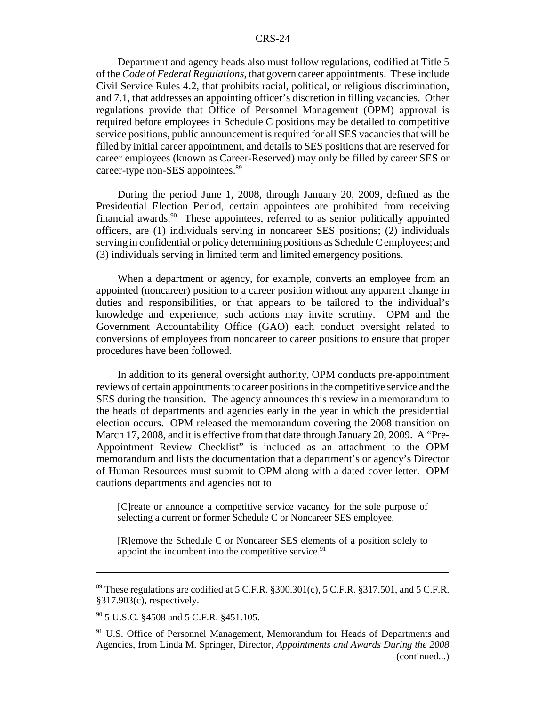Department and agency heads also must follow regulations, codified at Title 5 of the *Code of Federal Regulations*, that govern career appointments. These include Civil Service Rules 4.2, that prohibits racial, political, or religious discrimination, and 7.1, that addresses an appointing officer's discretion in filling vacancies. Other regulations provide that Office of Personnel Management (OPM) approval is required before employees in Schedule C positions may be detailed to competitive service positions, public announcement is required for all SES vacancies that will be filled by initial career appointment, and details to SES positions that are reserved for career employees (known as Career-Reserved) may only be filled by career SES or career-type non-SES appointees.<sup>89</sup>

During the period June 1, 2008, through January 20, 2009, defined as the Presidential Election Period, certain appointees are prohibited from receiving financial awards.<sup>90</sup> These appointees, referred to as senior politically appointed officers, are (1) individuals serving in noncareer SES positions; (2) individuals serving in confidential or policy determining positions as Schedule C employees; and (3) individuals serving in limited term and limited emergency positions.

When a department or agency, for example, converts an employee from an appointed (noncareer) position to a career position without any apparent change in duties and responsibilities, or that appears to be tailored to the individual's knowledge and experience, such actions may invite scrutiny. OPM and the Government Accountability Office (GAO) each conduct oversight related to conversions of employees from noncareer to career positions to ensure that proper procedures have been followed.

In addition to its general oversight authority, OPM conducts pre-appointment reviews of certain appointments to career positions in the competitive service and the SES during the transition. The agency announces this review in a memorandum to the heads of departments and agencies early in the year in which the presidential election occurs. OPM released the memorandum covering the 2008 transition on March 17, 2008, and it is effective from that date through January 20, 2009. A "Pre-Appointment Review Checklist" is included as an attachment to the OPM memorandum and lists the documentation that a department's or agency's Director of Human Resources must submit to OPM along with a dated cover letter. OPM cautions departments and agencies not to

[C]reate or announce a competitive service vacancy for the sole purpose of selecting a current or former Schedule C or Noncareer SES employee.

[R]emove the Schedule C or Noncareer SES elements of a position solely to appoint the incumbent into the competitive service. $91$ 

<sup>&</sup>lt;sup>89</sup> These regulations are codified at 5 C.F.R. §300.301(c), 5 C.F.R. §317.501, and 5 C.F.R. §317.903(c), respectively.

<sup>90 5</sup> U.S.C. §4508 and 5 C.F.R. §451.105.

<sup>&</sup>lt;sup>91</sup> U.S. Office of Personnel Management, Memorandum for Heads of Departments and Agencies, from Linda M. Springer, Director, *Appointments and Awards During the 2008* (continued...)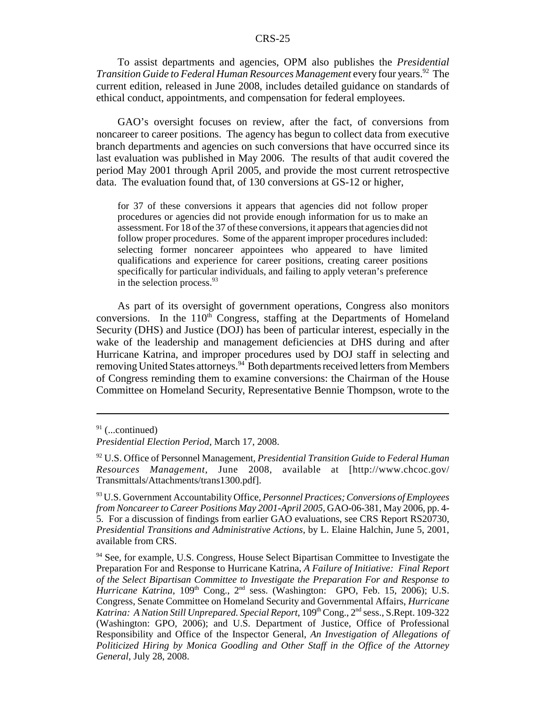To assist departments and agencies, OPM also publishes the *Presidential Transition Guide to Federal Human Resources Management* every four years.92 The current edition, released in June 2008, includes detailed guidance on standards of ethical conduct, appointments, and compensation for federal employees.

GAO's oversight focuses on review, after the fact, of conversions from noncareer to career positions. The agency has begun to collect data from executive branch departments and agencies on such conversions that have occurred since its last evaluation was published in May 2006. The results of that audit covered the period May 2001 through April 2005, and provide the most current retrospective data. The evaluation found that, of 130 conversions at GS-12 or higher,

for 37 of these conversions it appears that agencies did not follow proper procedures or agencies did not provide enough information for us to make an assessment. For 18 of the 37 of these conversions, it appears that agencies did not follow proper procedures. Some of the apparent improper procedures included: selecting former noncareer appointees who appeared to have limited qualifications and experience for career positions, creating career positions specifically for particular individuals, and failing to apply veteran's preference in the selection process.<sup>93</sup>

As part of its oversight of government operations, Congress also monitors conversions. In the  $110<sup>th</sup>$  Congress, staffing at the Departments of Homeland Security (DHS) and Justice (DOJ) has been of particular interest, especially in the wake of the leadership and management deficiencies at DHS during and after Hurricane Katrina, and improper procedures used by DOJ staff in selecting and removing United States attorneys.<sup>94</sup> Both departments received letters from Members of Congress reminding them to examine conversions: the Chairman of the House Committee on Homeland Security, Representative Bennie Thompson, wrote to the

 $91$  (...continued)

*Presidential Election Period*, March 17, 2008.

<sup>92</sup> U.S. Office of Personnel Management, *Presidential Transition Guide to Federal Human Resources Management*, June 2008, available at [http://www.chcoc.gov/ Transmittals/Attachments/trans1300.pdf].

<sup>93</sup> U.S. Government Accountability Office, *Personnel Practices; Conversions of Employees from Noncareer to Career Positions May 2001-April 2005*, GAO-06-381, May 2006, pp. 4- 5. For a discussion of findings from earlier GAO evaluations, see CRS Report RS20730, *Presidential Transitions and Administrative Actions*, by L. Elaine Halchin, June 5, 2001, available from CRS.

<sup>&</sup>lt;sup>94</sup> See, for example, U.S. Congress, House Select Bipartisan Committee to Investigate the Preparation For and Response to Hurricane Katrina, *A Failure of Initiative: Final Report of the Select Bipartisan Committee to Investigate the Preparation For and Response to*  $\hat{H}$ urricane Katrina, 109<sup>th</sup> Cong., 2<sup>nd</sup> sess. (Washington: GPO, Feb. 15, 2006); U.S. Congress, Senate Committee on Homeland Security and Governmental Affairs, *Hurricane* Katrina: A Nation Still Unprepared. Special Report, 109<sup>th</sup> Cong., 2<sup>nd</sup> sess., S.Rept. 109-322 (Washington: GPO, 2006); and U.S. Department of Justice, Office of Professional Responsibility and Office of the Inspector General, *An Investigation of Allegations of Politicized Hiring by Monica Goodling and Other Staff in the Office of the Attorney General*, July 28, 2008.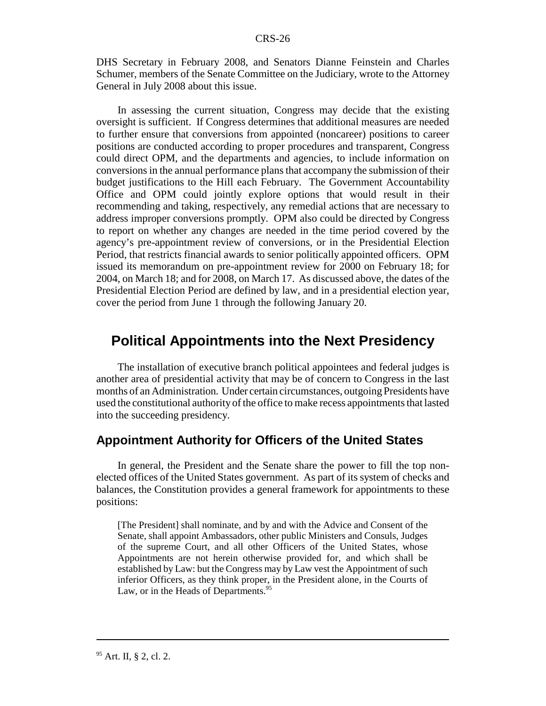DHS Secretary in February 2008, and Senators Dianne Feinstein and Charles Schumer, members of the Senate Committee on the Judiciary, wrote to the Attorney General in July 2008 about this issue.

In assessing the current situation, Congress may decide that the existing oversight is sufficient. If Congress determines that additional measures are needed to further ensure that conversions from appointed (noncareer) positions to career positions are conducted according to proper procedures and transparent, Congress could direct OPM, and the departments and agencies, to include information on conversions in the annual performance plans that accompany the submission of their budget justifications to the Hill each February. The Government Accountability Office and OPM could jointly explore options that would result in their recommending and taking, respectively, any remedial actions that are necessary to address improper conversions promptly. OPM also could be directed by Congress to report on whether any changes are needed in the time period covered by the agency's pre-appointment review of conversions, or in the Presidential Election Period, that restricts financial awards to senior politically appointed officers. OPM issued its memorandum on pre-appointment review for 2000 on February 18; for 2004, on March 18; and for 2008, on March 17. As discussed above, the dates of the Presidential Election Period are defined by law, and in a presidential election year, cover the period from June 1 through the following January 20.

# **Political Appointments into the Next Presidency**

The installation of executive branch political appointees and federal judges is another area of presidential activity that may be of concern to Congress in the last months of an Administration. Under certain circumstances, outgoing Presidents have used the constitutional authority of the office to make recess appointments that lasted into the succeeding presidency.

### **Appointment Authority for Officers of the United States**

In general, the President and the Senate share the power to fill the top nonelected offices of the United States government. As part of its system of checks and balances, the Constitution provides a general framework for appointments to these positions:

[The President] shall nominate, and by and with the Advice and Consent of the Senate, shall appoint Ambassadors, other public Ministers and Consuls, Judges of the supreme Court, and all other Officers of the United States, whose Appointments are not herein otherwise provided for, and which shall be established by Law: but the Congress may by Law vest the Appointment of such inferior Officers, as they think proper, in the President alone, in the Courts of Law, or in the Heads of Departments.<sup>95</sup>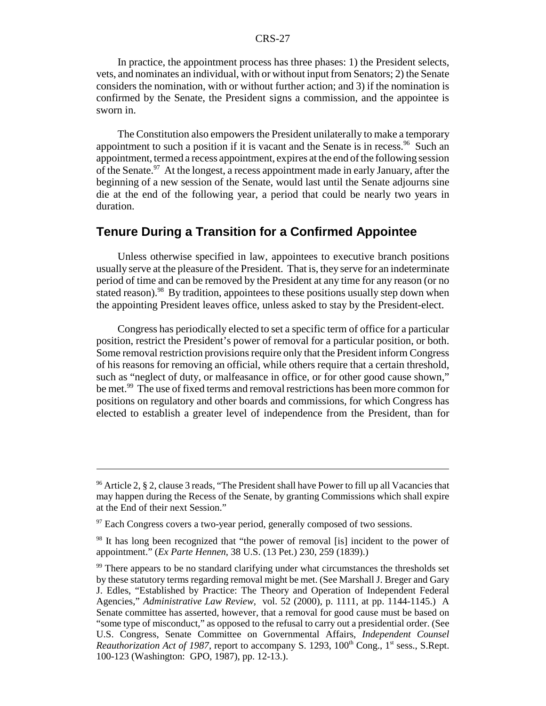In practice, the appointment process has three phases: 1) the President selects, vets, and nominates an individual, with or without input from Senators; 2) the Senate considers the nomination, with or without further action; and 3) if the nomination is confirmed by the Senate, the President signs a commission, and the appointee is sworn in.

The Constitution also empowers the President unilaterally to make a temporary appointment to such a position if it is vacant and the Senate is in recess.<sup>96</sup> Such an appointment, termed a recess appointment, expires at the end of the following session of the Senate.<sup>97</sup> At the longest, a recess appointment made in early January, after the beginning of a new session of the Senate, would last until the Senate adjourns sine die at the end of the following year, a period that could be nearly two years in duration.

### **Tenure During a Transition for a Confirmed Appointee**

Unless otherwise specified in law, appointees to executive branch positions usually serve at the pleasure of the President. That is, they serve for an indeterminate period of time and can be removed by the President at any time for any reason (or no stated reason).<sup>98</sup> By tradition, appointees to these positions usually step down when the appointing President leaves office, unless asked to stay by the President-elect.

Congress has periodically elected to set a specific term of office for a particular position, restrict the President's power of removal for a particular position, or both. Some removal restriction provisions require only that the President inform Congress of his reasons for removing an official, while others require that a certain threshold, such as "neglect of duty, or malfeasance in office, or for other good cause shown," be met.<sup>99</sup> The use of fixed terms and removal restrictions has been more common for positions on regulatory and other boards and commissions, for which Congress has elected to establish a greater level of independence from the President, than for

<sup>&</sup>lt;sup>96</sup> Article 2, § 2, clause 3 reads, "The President shall have Power to fill up all Vacancies that may happen during the Recess of the Senate, by granting Commissions which shall expire at the End of their next Session."

 $97$  Each Congress covers a two-year period, generally composed of two sessions.

<sup>&</sup>lt;sup>98</sup> It has long been recognized that "the power of removal [is] incident to the power of appointment." (*Ex Parte Hennen*, 38 U.S. (13 Pet.) 230, 259 (1839).)

 $99$  There appears to be no standard clarifying under what circumstances the thresholds set by these statutory terms regarding removal might be met. (See Marshall J. Breger and Gary J. Edles, "Established by Practice: The Theory and Operation of Independent Federal Agencies," *Administrative Law Review*, vol. 52 (2000), p. 1111, at pp. 1144-1145.) A Senate committee has asserted, however, that a removal for good cause must be based on "some type of misconduct," as opposed to the refusal to carry out a presidential order. (See U.S. Congress, Senate Committee on Governmental Affairs, *Independent Counsel Reauthorization Act of 1987*, report to accompany S. 1293, 100<sup>th</sup> Cong., 1<sup>st</sup> sess., S.Rept. 100-123 (Washington: GPO, 1987), pp. 12-13.).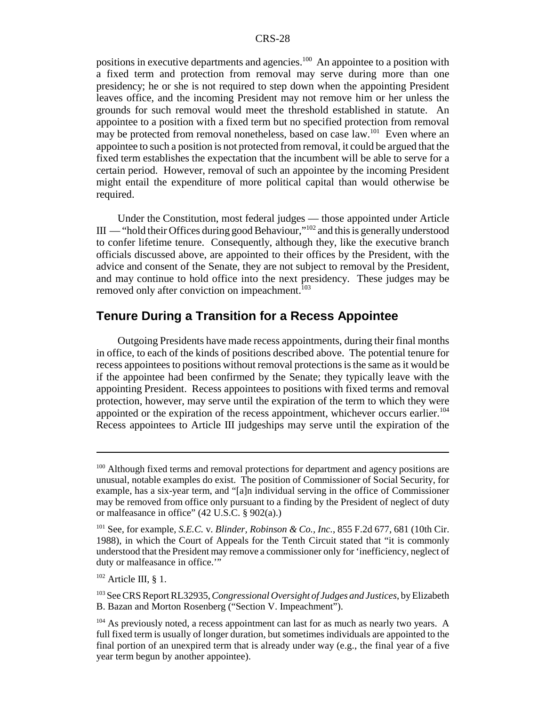positions in executive departments and agencies.<sup>100</sup> An appointee to a position with a fixed term and protection from removal may serve during more than one presidency; he or she is not required to step down when the appointing President leaves office, and the incoming President may not remove him or her unless the grounds for such removal would meet the threshold established in statute. An appointee to a position with a fixed term but no specified protection from removal may be protected from removal nonetheless, based on case law.<sup>101</sup> Even where an appointee to such a position is not protected from removal, it could be argued that the fixed term establishes the expectation that the incumbent will be able to serve for a certain period. However, removal of such an appointee by the incoming President might entail the expenditure of more political capital than would otherwise be required.

Under the Constitution, most federal judges — those appointed under Article  $III$  — "hold their Offices during good Behaviour,"<sup>102</sup> and this is generally understood to confer lifetime tenure. Consequently, although they, like the executive branch officials discussed above, are appointed to their offices by the President, with the advice and consent of the Senate, they are not subject to removal by the President, and may continue to hold office into the next presidency. These judges may be removed only after conviction on impeachment.<sup>103</sup>

### **Tenure During a Transition for a Recess Appointee**

Outgoing Presidents have made recess appointments, during their final months in office, to each of the kinds of positions described above. The potential tenure for recess appointees to positions without removal protections is the same as it would be if the appointee had been confirmed by the Senate; they typically leave with the appointing President. Recess appointees to positions with fixed terms and removal protection, however, may serve until the expiration of the term to which they were appointed or the expiration of the recess appointment, whichever occurs earlier.<sup>104</sup> Recess appointees to Article III judgeships may serve until the expiration of the

<sup>&</sup>lt;sup>100</sup> Although fixed terms and removal protections for department and agency positions are unusual, notable examples do exist. The position of Commissioner of Social Security, for example, has a six-year term, and "[a]n individual serving in the office of Commissioner may be removed from office only pursuant to a finding by the President of neglect of duty or malfeasance in office" (42 U.S.C. § 902(a).)

<sup>101</sup> See, for example, *S.E.C.* v. *Blinder, Robinson & Co., Inc.*, 855 F.2d 677, 681 (10th Cir. 1988), in which the Court of Appeals for the Tenth Circuit stated that "it is commonly understood that the President may remove a commissioner only for 'inefficiency, neglect of duty or malfeasance in office."

 $102$  Article III, § 1.

<sup>103</sup> See CRS Report RL32935, *Congressional Oversight of Judges and Justices*, by Elizabeth B. Bazan and Morton Rosenberg ("Section V. Impeachment").

 $104$  As previously noted, a recess appointment can last for as much as nearly two years. A full fixed term is usually of longer duration, but sometimes individuals are appointed to the final portion of an unexpired term that is already under way (e.g., the final year of a five year term begun by another appointee).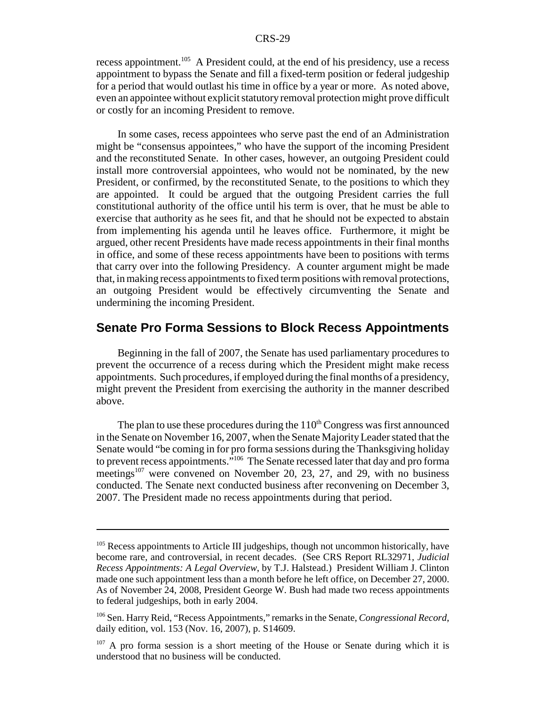recess appointment.<sup>105</sup> A President could, at the end of his presidency, use a recess appointment to bypass the Senate and fill a fixed-term position or federal judgeship for a period that would outlast his time in office by a year or more. As noted above, even an appointee without explicit statutory removal protection might prove difficult or costly for an incoming President to remove.

In some cases, recess appointees who serve past the end of an Administration might be "consensus appointees," who have the support of the incoming President and the reconstituted Senate. In other cases, however, an outgoing President could install more controversial appointees, who would not be nominated, by the new President, or confirmed, by the reconstituted Senate, to the positions to which they are appointed. It could be argued that the outgoing President carries the full constitutional authority of the office until his term is over, that he must be able to exercise that authority as he sees fit, and that he should not be expected to abstain from implementing his agenda until he leaves office. Furthermore, it might be argued, other recent Presidents have made recess appointments in their final months in office, and some of these recess appointments have been to positions with terms that carry over into the following Presidency. A counter argument might be made that, in making recess appointments to fixed term positions with removal protections, an outgoing President would be effectively circumventing the Senate and undermining the incoming President.

### **Senate Pro Forma Sessions to Block Recess Appointments**

Beginning in the fall of 2007, the Senate has used parliamentary procedures to prevent the occurrence of a recess during which the President might make recess appointments. Such procedures, if employed during the final months of a presidency, might prevent the President from exercising the authority in the manner described above.

The plan to use these procedures during the  $110<sup>th</sup>$  Congress was first announced in the Senate on November 16, 2007, when the Senate Majority Leader stated that the Senate would "be coming in for pro forma sessions during the Thanksgiving holiday to prevent recess appointments."<sup>106</sup> The Senate recessed later that day and pro forma meetings<sup>107</sup> were convened on November 20, 23, 27, and 29, with no business conducted. The Senate next conducted business after reconvening on December 3, 2007. The President made no recess appointments during that period.

<sup>&</sup>lt;sup>105</sup> Recess appointments to Article III judgeships, though not uncommon historically, have become rare, and controversial, in recent decades. (See CRS Report RL32971, *Judicial Recess Appointments: A Legal Overview*, by T.J. Halstead.) President William J. Clinton made one such appointment less than a month before he left office, on December 27, 2000. As of November 24, 2008, President George W. Bush had made two recess appointments to federal judgeships, both in early 2004.

<sup>106</sup> Sen. Harry Reid, "Recess Appointments," remarks in the Senate, *Congressional Record*, daily edition, vol. 153 (Nov. 16, 2007), p. S14609.

 $107$  A pro forma session is a short meeting of the House or Senate during which it is understood that no business will be conducted.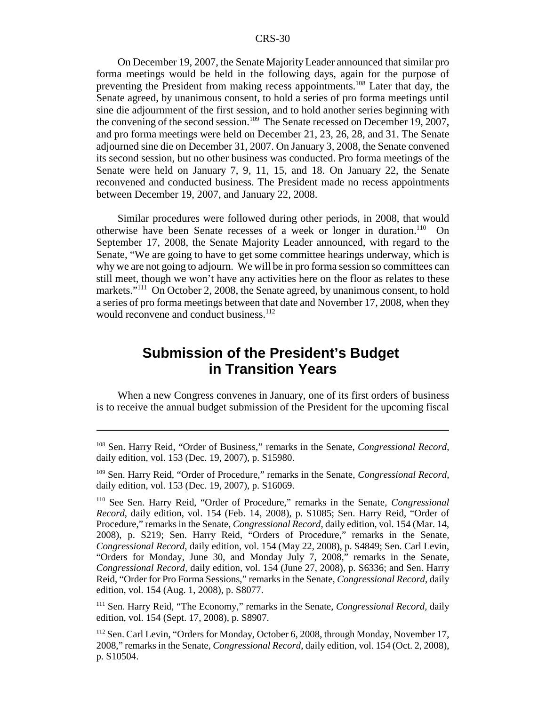On December 19, 2007, the Senate Majority Leader announced that similar pro forma meetings would be held in the following days, again for the purpose of preventing the President from making recess appointments.<sup>108</sup> Later that day, the Senate agreed, by unanimous consent, to hold a series of pro forma meetings until sine die adjournment of the first session, and to hold another series beginning with the convening of the second session.<sup>109</sup> The Senate recessed on December 19, 2007, and pro forma meetings were held on December 21, 23, 26, 28, and 31. The Senate adjourned sine die on December 31, 2007. On January 3, 2008, the Senate convened its second session, but no other business was conducted. Pro forma meetings of the Senate were held on January 7, 9, 11, 15, and 18. On January 22, the Senate reconvened and conducted business. The President made no recess appointments between December 19, 2007, and January 22, 2008.

Similar procedures were followed during other periods, in 2008, that would otherwise have been Senate recesses of a week or longer in duration.<sup>110</sup> On September 17, 2008, the Senate Majority Leader announced, with regard to the Senate, "We are going to have to get some committee hearings underway, which is why we are not going to adjourn. We will be in pro forma session so committees can still meet, though we won't have any activities here on the floor as relates to these markets."<sup>111</sup> On October 2, 2008, the Senate agreed, by unanimous consent, to hold a series of pro forma meetings between that date and November 17, 2008, when they would reconvene and conduct business.<sup>112</sup>

# **Submission of the President's Budget in Transition Years**

When a new Congress convenes in January, one of its first orders of business is to receive the annual budget submission of the President for the upcoming fiscal

111 Sen. Harry Reid, "The Economy," remarks in the Senate, *Congressional Record*, daily edition, vol. 154 (Sept. 17, 2008), p. S8907.

<sup>108</sup> Sen. Harry Reid, "Order of Business," remarks in the Senate, *Congressional Record*, daily edition, vol. 153 (Dec. 19, 2007), p. S15980.

<sup>109</sup> Sen. Harry Reid, "Order of Procedure," remarks in the Senate, *Congressional Record*, daily edition, vol. 153 (Dec. 19, 2007), p. S16069.

<sup>110</sup> See Sen. Harry Reid, "Order of Procedure," remarks in the Senate, *Congressional Record*, daily edition, vol. 154 (Feb. 14, 2008), p. S1085; Sen. Harry Reid, "Order of Procedure," remarks in the Senate, *Congressional Record*, daily edition, vol. 154 (Mar. 14, 2008), p. S219; Sen. Harry Reid, "Orders of Procedure," remarks in the Senate, *Congressional Record*, daily edition, vol. 154 (May 22, 2008), p. S4849; Sen. Carl Levin, "Orders for Monday, June 30, and Monday July 7, 2008," remarks in the Senate, *Congressional Record*, daily edition, vol. 154 (June 27, 2008), p. S6336; and Sen. Harry Reid, "Order for Pro Forma Sessions," remarks in the Senate, *Congressional Record*, daily edition, vol. 154 (Aug. 1, 2008), p. S8077.

<sup>&</sup>lt;sup>112</sup> Sen. Carl Levin, "Orders for Monday, October 6, 2008, through Monday, November 17, 2008," remarks in the Senate, *Congressional Record*, daily edition, vol. 154 (Oct. 2, 2008), p. S10504.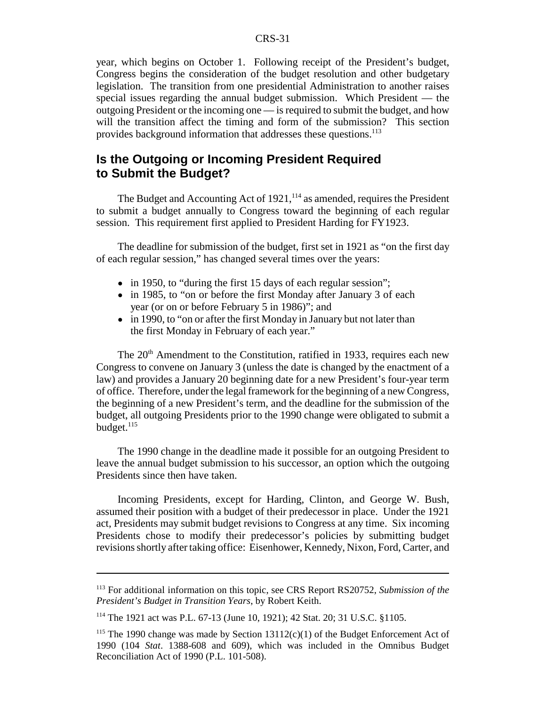year, which begins on October 1. Following receipt of the President's budget, Congress begins the consideration of the budget resolution and other budgetary legislation. The transition from one presidential Administration to another raises special issues regarding the annual budget submission. Which President — the outgoing President or the incoming one — is required to submit the budget, and how will the transition affect the timing and form of the submission? This section provides background information that addresses these questions.<sup>113</sup>

## **Is the Outgoing or Incoming President Required to Submit the Budget?**

The Budget and Accounting Act of  $1921$ ,  $^{114}$  as amended, requires the President to submit a budget annually to Congress toward the beginning of each regular session. This requirement first applied to President Harding for FY1923.

The deadline for submission of the budget, first set in 1921 as "on the first day of each regular session," has changed several times over the years:

- in 1950, to "during the first 15 days of each regular session";
- in 1985, to "on or before the first Monday after January 3 of each year (or on or before February 5 in 1986)"; and
- in 1990, to "on or after the first Monday in January but not later than the first Monday in February of each year."

The 20<sup>th</sup> Amendment to the Constitution, ratified in 1933, requires each new Congress to convene on January 3 (unless the date is changed by the enactment of a law) and provides a January 20 beginning date for a new President's four-year term of office. Therefore, under the legal framework for the beginning of a new Congress, the beginning of a new President's term, and the deadline for the submission of the budget, all outgoing Presidents prior to the 1990 change were obligated to submit a budget.<sup>115</sup>

The 1990 change in the deadline made it possible for an outgoing President to leave the annual budget submission to his successor, an option which the outgoing Presidents since then have taken.

Incoming Presidents, except for Harding, Clinton, and George W. Bush, assumed their position with a budget of their predecessor in place. Under the 1921 act, Presidents may submit budget revisions to Congress at any time. Six incoming Presidents chose to modify their predecessor's policies by submitting budget revisions shortly after taking office: Eisenhower, Kennedy, Nixon, Ford, Carter, and

<sup>113</sup> For additional information on this topic, see CRS Report RS20752, *Submission of the President's Budget in Transition Years*, by Robert Keith.

<sup>114</sup> The 1921 act was P.L. 67-13 (June 10, 1921); 42 Stat. 20; 31 U.S.C. §1105.

<sup>&</sup>lt;sup>115</sup> The 1990 change was made by Section  $13112(c)(1)$  of the Budget Enforcement Act of 1990 (104 *Stat*. 1388-608 and 609), which was included in the Omnibus Budget Reconciliation Act of 1990 (P.L. 101-508).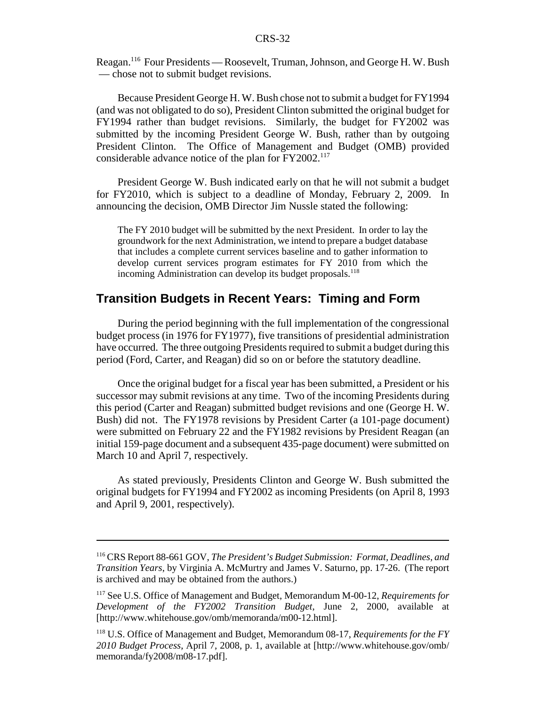Reagan.116 Four Presidents — Roosevelt, Truman, Johnson, and George H. W. Bush — chose not to submit budget revisions.

Because President George H. W. Bush chose not to submit a budget for FY1994 (and was not obligated to do so), President Clinton submitted the original budget for FY1994 rather than budget revisions. Similarly, the budget for FY2002 was submitted by the incoming President George W. Bush, rather than by outgoing President Clinton. The Office of Management and Budget (OMB) provided considerable advance notice of the plan for FY2002.<sup>117</sup>

President George W. Bush indicated early on that he will not submit a budget for FY2010, which is subject to a deadline of Monday, February 2, 2009. In announcing the decision, OMB Director Jim Nussle stated the following:

The FY 2010 budget will be submitted by the next President. In order to lay the groundwork for the next Administration, we intend to prepare a budget database that includes a complete current services baseline and to gather information to develop current services program estimates for FY 2010 from which the incoming Administration can develop its budget proposals.<sup>118</sup>

#### **Transition Budgets in Recent Years: Timing and Form**

During the period beginning with the full implementation of the congressional budget process (in 1976 for FY1977), five transitions of presidential administration have occurred. The three outgoing Presidents required to submit a budget during this period (Ford, Carter, and Reagan) did so on or before the statutory deadline.

Once the original budget for a fiscal year has been submitted, a President or his successor may submit revisions at any time. Two of the incoming Presidents during this period (Carter and Reagan) submitted budget revisions and one (George H. W. Bush) did not. The FY1978 revisions by President Carter (a 101-page document) were submitted on February 22 and the FY1982 revisions by President Reagan (an initial 159-page document and a subsequent 435-page document) were submitted on March 10 and April 7, respectively.

As stated previously, Presidents Clinton and George W. Bush submitted the original budgets for FY1994 and FY2002 as incoming Presidents (on April 8, 1993 and April 9, 2001, respectively).

<sup>116</sup> CRS Report 88-661 GOV, *The President's Budget Submission: Format, Deadlines, and Transition Years*, by Virginia A. McMurtry and James V. Saturno, pp. 17-26. (The report is archived and may be obtained from the authors.)

<sup>117</sup> See U.S. Office of Management and Budget, Memorandum M-00-12, *Requirements for Development of the FY2002 Transition Budget*, June 2, 2000, available at [http://www.whitehouse.gov/omb/memoranda/m00-12.html].

<sup>118</sup> U.S. Office of Management and Budget, Memorandum 08-17, *Requirements for the FY 2010 Budget Process*, April 7, 2008, p. 1, available at [http://www.whitehouse.gov/omb/ memoranda/fy2008/m08-17.pdf].